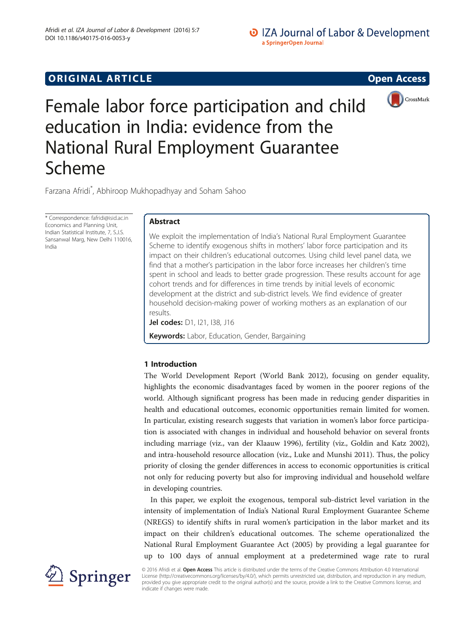# **ORIGINAL ARTICLE CONSUMING A LIGACION CONSUMING A LIGACION**





Female labor force participation and child education in India: evidence from the National Rural Employment Guarantee Scheme

Farzana Afridi\* , Abhiroop Mukhopadhyay and Soham Sahoo

\* Correspondence: [fafridi@isid.ac.in](mailto:fafridi@isid.ac.in) Economics and Planning Unit, Indian Statistical Institute, 7, S.J.S. Sansanwal Marg, New Delhi 110016, India

# Abstract

We exploit the implementation of India's National Rural Employment Guarantee Scheme to identify exogenous shifts in mothers' labor force participation and its impact on their children's educational outcomes. Using child level panel data, we find that a mother's participation in the labor force increases her children's time spent in school and leads to better grade progression. These results account for age cohort trends and for differences in time trends by initial levels of economic development at the district and sub-district levels. We find evidence of greater household decision-making power of working mothers as an explanation of our results.

Jel codes: D1, I21, I38, J16

Keywords: Labor, Education, Gender, Bargaining

# 1 Introduction

The World Development Report (World Bank [2012](#page--1-0)), focusing on gender equality, highlights the economic disadvantages faced by women in the poorer regions of the world. Although significant progress has been made in reducing gender disparities in health and educational outcomes, economic opportunities remain limited for women. In particular, existing research suggests that variation in women's labor force participation is associated with changes in individual and household behavior on several fronts including marriage (viz., van der Klaauw [1996\)](#page--1-0), fertility (viz., Goldin and Katz [2002](#page-25-0)), and intra-household resource allocation (viz., Luke and Munshi [2011](#page--1-0)). Thus, the policy priority of closing the gender differences in access to economic opportunities is critical not only for reducing poverty but also for improving individual and household welfare in developing countries.

In this paper, we exploit the exogenous, temporal sub-district level variation in the intensity of implementation of India's National Rural Employment Guarantee Scheme (NREGS) to identify shifts in rural women's participation in the labor market and its impact on their children's educational outcomes. The scheme operationalized the National Rural Employment Guarantee Act (2005) by providing a legal guarantee for up to 100 days of annual employment at a predetermined wage rate to rural



© 2016 Afridi et al. Open Access This article is distributed under the terms of the Creative Commons Attribution 4.0 International License [\(http://creativecommons.org/licenses/by/4.0/](http://creativecommons.org/licenses/by/4.0/)), which permits unrestricted use, distribution, and reproduction in any medium, provided you give appropriate credit to the original author(s) and the source, provide a link to the Creative Commons license, and indicate if changes were made.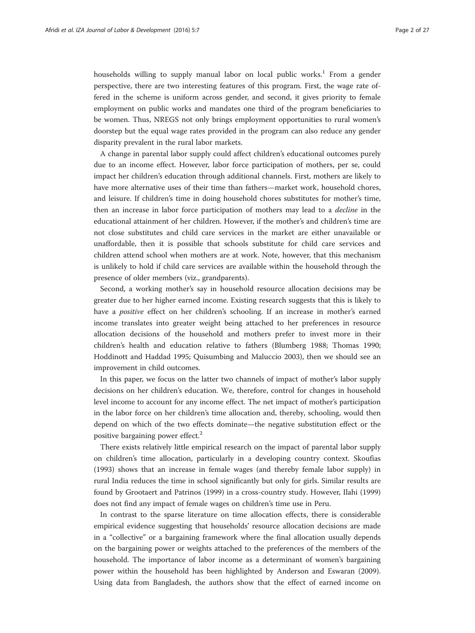households willing to supply manual labor on local public works.<sup>1</sup> From a gender perspective, there are two interesting features of this program. First, the wage rate offered in the scheme is uniform across gender, and second, it gives priority to female employment on public works and mandates one third of the program beneficiaries to be women. Thus, NREGS not only brings employment opportunities to rural women's doorstep but the equal wage rates provided in the program can also reduce any gender disparity prevalent in the rural labor markets.

A change in parental labor supply could affect children's educational outcomes purely due to an income effect. However, labor force participation of mothers, per se, could impact her children's education through additional channels. First, mothers are likely to have more alternative uses of their time than fathers—market work, household chores, and leisure. If children's time in doing household chores substitutes for mother's time, then an increase in labor force participation of mothers may lead to a decline in the educational attainment of her children. However, if the mother's and children's time are not close substitutes and child care services in the market are either unavailable or unaffordable, then it is possible that schools substitute for child care services and children attend school when mothers are at work. Note, however, that this mechanism is unlikely to hold if child care services are available within the household through the presence of older members (viz., grandparents).

Second, a working mother's say in household resource allocation decisions may be greater due to her higher earned income. Existing research suggests that this is likely to have a positive effect on her children's schooling. If an increase in mother's earned income translates into greater weight being attached to her preferences in resource allocation decisions of the household and mothers prefer to invest more in their children's health and education relative to fathers (Blumberg [1988](#page-25-0); Thomas [1990](#page--1-0); Hoddinott and Haddad [1995](#page-25-0); Quisumbing and Maluccio [2003\)](#page--1-0), then we should see an improvement in child outcomes.

In this paper, we focus on the latter two channels of impact of mother's labor supply decisions on her children's education. We, therefore, control for changes in household level income to account for any income effect. The net impact of mother's participation in the labor force on her children's time allocation and, thereby, schooling, would then depend on which of the two effects dominate—the negative substitution effect or the positive bargaining power effect.<sup>2</sup>

There exists relatively little empirical research on the impact of parental labor supply on children's time allocation, particularly in a developing country context. Skoufias ([1993](#page--1-0)) shows that an increase in female wages (and thereby female labor supply) in rural India reduces the time in school significantly but only for girls. Similar results are found by Grootaert and Patrinos ([1999](#page-25-0)) in a cross-country study. However, Ilahi ([1999](#page--1-0)) does not find any impact of female wages on children's time use in Peru.

In contrast to the sparse literature on time allocation effects, there is considerable empirical evidence suggesting that households' resource allocation decisions are made in a "collective" or a bargaining framework where the final allocation usually depends on the bargaining power or weights attached to the preferences of the members of the household. The importance of labor income as a determinant of women's bargaining power within the household has been highlighted by Anderson and Eswaran ([2009](#page-25-0)). Using data from Bangladesh, the authors show that the effect of earned income on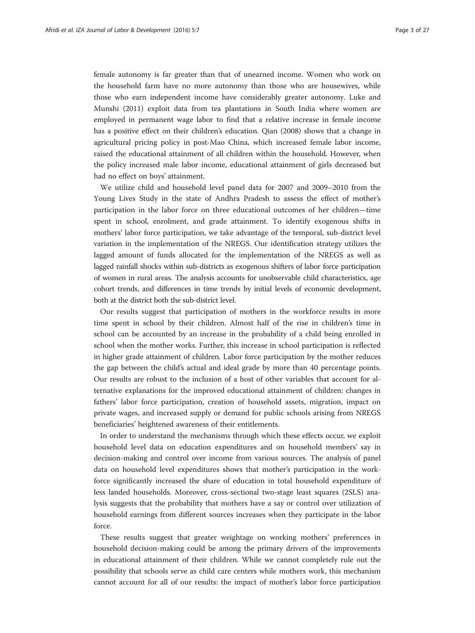female autonomy is far greater than that of unearned income. Women who work on the household farm have no more autonomy than those who are housewives, while those who earn independent income have considerably greater autonomy. Luke and Munshi [\(2011\)](#page--1-0) exploit data from tea plantations in South India where women are employed in permanent wage labor to find that a relative increase in female income has a positive effect on their children's education. Qian [\(2008\)](#page--1-0) shows that a change in agricultural pricing policy in post-Mao China, which increased female labor income, raised the educational attainment of all children within the household. However, when the policy increased male labor income, educational attainment of girls decreased but had no effect on boys' attainment.

We utilize child and household level panel data for 2007 and 2009–2010 from the Young Lives Study in the state of Andhra Pradesh to assess the effect of mother's participation in the labor force on three educational outcomes of her children—time spent in school, enrolment, and grade attainment. To identify exogenous shifts in mothers' labor force participation, we take advantage of the temporal, sub-district level variation in the implementation of the NREGS. Our identification strategy utilizes the lagged amount of funds allocated for the implementation of the NREGS as well as lagged rainfall shocks within sub-districts as exogenous shifters of labor force participation of women in rural areas. The analysis accounts for unobservable child characteristics, age cohort trends, and differences in time trends by initial levels of economic development, both at the district both the sub-district level.

Our results suggest that participation of mothers in the workforce results in more time spent in school by their children. Almost half of the rise in children's time in school can be accounted by an increase in the probability of a child being enrolled in school when the mother works. Further, this increase in school participation is reflected in higher grade attainment of children. Labor force participation by the mother reduces the gap between the child's actual and ideal grade by more than 40 percentage points. Our results are robust to the inclusion of a host of other variables that account for alternative explanations for the improved educational attainment of children: changes in fathers' labor force participation, creation of household assets, migration, impact on private wages, and increased supply or demand for public schools arising from NREGS beneficiaries' heightened awareness of their entitlements.

In order to understand the mechanisms through which these effects occur, we exploit household level data on education expenditures and on household members' say in decision-making and control over income from various sources. The analysis of panel data on household level expenditures shows that mother's participation in the workforce significantly increased the share of education in total household expenditure of less landed households. Moreover, cross-sectional two-stage least squares (2SLS) analysis suggests that the probability that mothers have a say or control over utilization of household earnings from different sources increases when they participate in the labor force.

These results suggest that greater weightage on working mothers' preferences in household decision-making could be among the primary drivers of the improvements in educational attainment of their children. While we cannot completely rule out the possibility that schools serve as child care centers while mothers work, this mechanism cannot account for all of our results: the impact of mother's labor force participation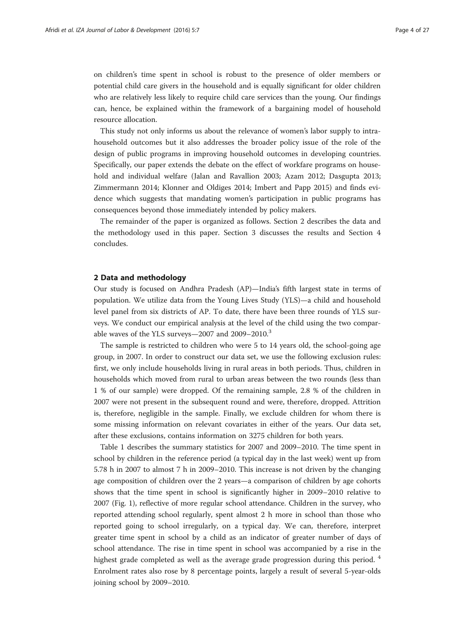on children's time spent in school is robust to the presence of older members or potential child care givers in the household and is equally significant for older children who are relatively less likely to require child care services than the young. Our findings can, hence, be explained within the framework of a bargaining model of household resource allocation.

This study not only informs us about the relevance of women's labor supply to intrahousehold outcomes but it also addresses the broader policy issue of the role of the design of public programs in improving household outcomes in developing countries. Specifically, our paper extends the debate on the effect of workfare programs on household and individual welfare (Jalan and Ravallion [2003](#page--1-0); Azam [2012;](#page-25-0) Dasgupta [2013](#page-25-0); Zimmermann [2014;](#page--1-0) Klonner and Oldiges [2014](#page--1-0); Imbert and Papp [2015](#page--1-0)) and finds evidence which suggests that mandating women's participation in public programs has consequences beyond those immediately intended by policy makers.

The remainder of the paper is organized as follows. Section 2 describes the data and the methodology used in this paper. Section [3](#page-10-0) discusses the results and Section [4](#page-17-0) concludes.

### 2 Data and methodology

Our study is focused on Andhra Pradesh (AP)—India's fifth largest state in terms of population. We utilize data from the Young Lives Study (YLS)—a child and household level panel from six districts of AP. To date, there have been three rounds of YLS surveys. We conduct our empirical analysis at the level of the child using the two comparable waves of the YLS surveys—2007 and 2009–2010.<sup>3</sup>

The sample is restricted to children who were 5 to 14 years old, the school-going age group, in 2007. In order to construct our data set, we use the following exclusion rules: first, we only include households living in rural areas in both periods. Thus, children in households which moved from rural to urban areas between the two rounds (less than 1 % of our sample) were dropped. Of the remaining sample, 2.8 % of the children in 2007 were not present in the subsequent round and were, therefore, dropped. Attrition is, therefore, negligible in the sample. Finally, we exclude children for whom there is some missing information on relevant covariates in either of the years. Our data set, after these exclusions, contains information on 3275 children for both years.

Table [1](#page-4-0) describes the summary statistics for 2007 and 2009–2010. The time spent in school by children in the reference period (a typical day in the last week) went up from 5.78 h in 2007 to almost 7 h in 2009–2010. This increase is not driven by the changing age composition of children over the 2 years—a comparison of children by age cohorts shows that the time spent in school is significantly higher in 2009–2010 relative to 2007 (Fig. [1](#page-5-0)), reflective of more regular school attendance. Children in the survey, who reported attending school regularly, spent almost 2 h more in school than those who reported going to school irregularly, on a typical day. We can, therefore, interpret greater time spent in school by a child as an indicator of greater number of days of school attendance. The rise in time spent in school was accompanied by a rise in the highest grade completed as well as the average grade progression during this period.<sup>4</sup> Enrolment rates also rose by 8 percentage points, largely a result of several 5-year-olds joining school by 2009–2010.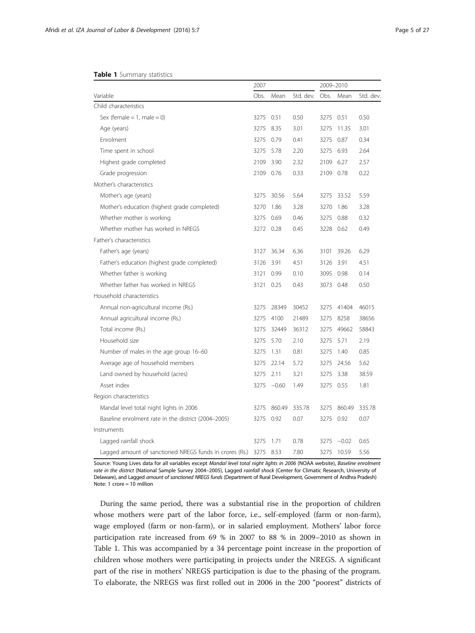#### <span id="page-4-0"></span>Table 1 Summary statistics

|                                                         | 2007 |         |           | 2009-2010 |            |           |
|---------------------------------------------------------|------|---------|-----------|-----------|------------|-----------|
| Variable                                                | Obs. | Mean    | Std. dev. | Obs.      | Mean       | Std. dev. |
| Child characteristics                                   |      |         |           |           |            |           |
| Sex (female = 1, male = 0)                              | 3275 | 0.51    | 0.50      | 3275 0.51 |            | 0.50      |
| Age (years)                                             | 3275 | 8.35    | 3.01      | 3275      | 11.35      | 3.01      |
| Enrolment                                               | 3275 | 0.79    | 0.41      |           | 3275 0.87  | 0.34      |
| Time spent in school                                    | 3275 | 5.78    | 2.20      |           | 3275 6.93  | 2.64      |
| Highest grade completed                                 | 2109 | 3.90    | 2.32      | 2109 6.27 |            | 2.57      |
| Grade progression                                       | 2109 | 0.76    | 0.33      | 2109 0.78 |            | 0.22      |
| Mother's characteristics                                |      |         |           |           |            |           |
| Mother's age (years)                                    | 3275 | 30.56   | 5.64      | 3275      | 33.52      | 5.59      |
| Mother's education (highest grade completed)            | 3270 | 1.86    | 3.28      | 3270      | 1.86       | 3.28      |
| Whether mother is working                               | 3275 | 0.69    | 0.46      | 3275      | 0.88       | 0.32      |
| Whether mother has worked in NRFGS                      | 3272 | 0.28    | 0.45      | 3228      | 0.62       | 0.49      |
| Father's characteristics                                |      |         |           |           |            |           |
| Father's age (years)                                    | 3127 | 36.34   | 6.36      | 3101      | 39.26      | 6.29      |
| Father's education (highest grade completed)            | 3126 | 3.91    | 4.51      | 3126 3.91 |            | 4.51      |
| Whether father is working                               | 3121 | 0.99    | 0.10      | 3095      | 0.98       | 0.14      |
| Whether father has worked in NREGS                      | 3121 | 0.25    | 0.43      |           | 3073 0.48  | 0.50      |
| Household characteristics                               |      |         |           |           |            |           |
| Annual non-agricultural income (Rs.)                    | 3275 | 28349   | 30452     | 3275      | 41404      | 46015     |
| Annual agricultural income (Rs.)                        | 3275 | 4100    | 21489     | 3275      | 8258       | 38656     |
| Total income (Rs.)                                      | 3275 | 32449   | 36312     | 3275      | 49662      | 58843     |
| Household size                                          | 3275 | 5.70    | 2.10      | 3275      | 5.71       | 2.19      |
| Number of males in the age group 16-60                  | 3275 | 1.31    | 0.81      | 3275      | 1.40       | 0.85      |
| Average age of household members                        | 3275 | 22.14   | 5.72      |           | 3275 24.56 | 5.62      |
| Land owned by household (acres)                         | 3275 | 2.11    | 3.21      | 3275      | 3.38       | 38.59     |
| Asset index                                             | 3275 | $-0.60$ | 1.49      |           | 3275 0.55  | 1.81      |
| Region characteristics                                  |      |         |           |           |            |           |
| Mandal level total night lights in 2006                 | 3275 | 860.49  | 335.78    | 3275      | 860.49     | 335.78    |
| Baseline enrolment rate in the district (2004-2005)     | 3275 | 0.92    | 0.07      | 3275      | 0.92       | 0.07      |
| Instruments                                             |      |         |           |           |            |           |
| Lagged rainfall shock                                   | 3275 | 1.71    | 0.78      | 3275      | $-0.02$    | 0.65      |
| Lagged amount of sanctioned NREGS funds in crores (Rs.) | 3275 | 8.53    | 7.80      | 3275      | 10.59      | 5.56      |

Source: Young Lives data for all variables except Mandal level total night lights in 2006 (NOAA website), Baseline enrolment rate in the district (National Sample Survey 2004–2005), Lagged rainfall shock (Center for Climatic Research, University of Delaware), and Lagged amount of sanctioned NREGS funds (Department of Rural Development, Government of Andhra Pradesh) Note: 1 crore = 10 million

During the same period, there was a substantial rise in the proportion of children whose mothers were part of the labor force, i.e., self-employed (farm or non-farm), wage employed (farm or non-farm), or in salaried employment. Mothers' labor force participation rate increased from 69 % in 2007 to 88 % in 2009–2010 as shown in Table 1. This was accompanied by a 34 percentage point increase in the proportion of children whose mothers were participating in projects under the NREGS. A significant part of the rise in mothers' NREGS participation is due to the phasing of the program. To elaborate, the NREGS was first rolled out in 2006 in the 200 "poorest" districts of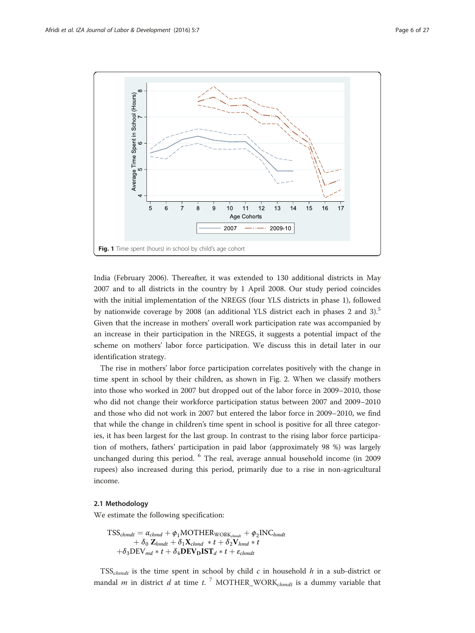<span id="page-5-0"></span>

India (February 2006). Thereafter, it was extended to 130 additional districts in May 2007 and to all districts in the country by 1 April 2008. Our study period coincides with the initial implementation of the NREGS (four YLS districts in phase 1), followed by nationwide coverage by 2008 (an additional YLS district each in phases 2 and 3).<sup>5</sup> Given that the increase in mothers' overall work participation rate was accompanied by an increase in their participation in the NREGS, it suggests a potential impact of the scheme on mothers' labor force participation. We discuss this in detail later in our identification strategy.

The rise in mothers' labor force participation correlates positively with the change in time spent in school by their children, as shown in Fig. [2](#page-6-0). When we classify mothers into those who worked in 2007 but dropped out of the labor force in 2009–2010, those who did not change their workforce participation status between 2007 and 2009–2010 and those who did not work in 2007 but entered the labor force in 2009–2010, we find that while the change in children's time spent in school is positive for all three categories, it has been largest for the last group. In contrast to the rising labor force participation of mothers, fathers' participation in paid labor (approximately 98 %) was largely unchanged during this period. <sup>6</sup> The real, average annual household income (in 2009 rupees) also increased during this period, primarily due to a rise in non-agricultural income.

### 2.1 Methodology

We estimate the following specification:

$$
\begin{aligned} \text{TSS}_{chmat} &= \alpha_{chmd} + \phi_1 \text{MOTHERWORK}_{chmat} + \phi_2 \text{INC}_{hmat} \\ &+ \delta_0 \text{ Z}_{hmat} + \delta_1 \text{ X}_{chmd} * t + \delta_2 \text{ V}_{hmd} * t \\ &+ \delta_3 \text{DEV}_{md} * t + \delta_4 \text{DEV}_{\text{D}} \text{IST}_d * t + \varepsilon_{chmat} \end{aligned}
$$

 $TSS_{chmdt}$  is the time spent in school by child c in household h in a sub-district or mandal *m* in district *d* at time *t*.<sup>7</sup> MOTHER\_WORK<sub>chmdt</sub> is a dummy variable that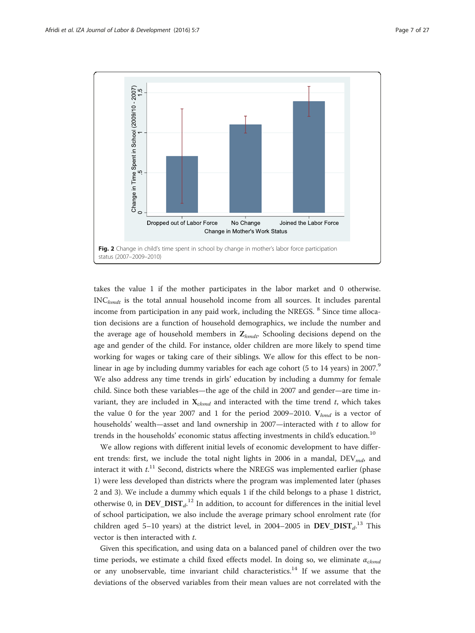<span id="page-6-0"></span>

takes the value 1 if the mother participates in the labor market and 0 otherwise.  $INC<sub>hmdt</sub>$  is the total annual household income from all sources. It includes parental income from participation in any paid work, including the NREGS. <sup>8</sup> Since time allocation decisions are a function of household demographics, we include the number and the average age of household members in  $\mathbf{Z}_{hmdt}$ . Schooling decisions depend on the age and gender of the child. For instance, older children are more likely to spend time working for wages or taking care of their siblings. We allow for this effect to be nonlinear in age by including dummy variables for each age cohort (5 to 14 years) in 2007.<sup>9</sup> We also address any time trends in girls' education by including a dummy for female child. Since both these variables—the age of the child in 2007 and gender—are time invariant, they are included in  $X_{chmd}$  and interacted with the time trend t, which takes the value 0 for the year 2007 and 1 for the period 2009–2010.  $V_{hmd}$  is a vector of households' wealth—asset and land ownership in 2007—interacted with  $t$  to allow for trends in the households' economic status affecting investments in child's education.<sup>10</sup>

We allow regions with different initial levels of economic development to have different trends: first, we include the total night lights in 2006 in a mandal,  $DEV_{md}$ , and interact it with  $t$ <sup>11</sup> Second, districts where the NREGS was implemented earlier (phase 1) were less developed than districts where the program was implemented later (phases 2 and 3). We include a dummy which equals 1 if the child belongs to a phase 1 district, otherwise 0, in  $DEV_D IST_{d'}^{12}$  In addition, to account for differences in the initial level of school participation, we also include the average primary school enrolment rate (for children aged 5-10 years) at the district level, in 2004-2005 in  $DEV_D IST_d$ .<sup>13</sup> This vector is then interacted with t.

Given this specification, and using data on a balanced panel of children over the two time periods, we estimate a child fixed effects model. In doing so, we eliminate  $\alpha_{chmd}$ or any unobservable, time invariant child characteristics.<sup>14</sup> If we assume that the deviations of the observed variables from their mean values are not correlated with the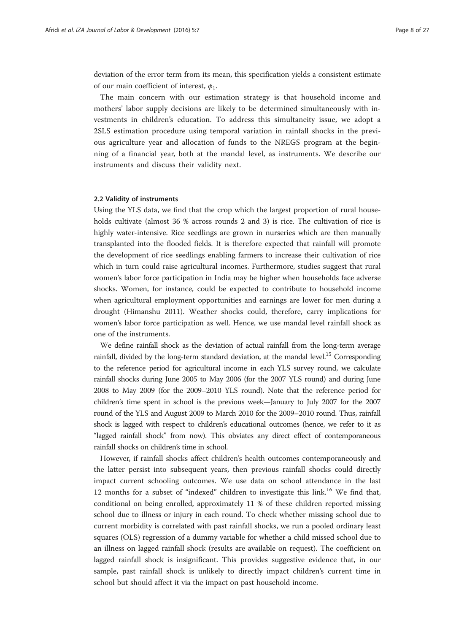deviation of the error term from its mean, this specification yields a consistent estimate of our main coefficient of interest,  $\phi_1$ .

The main concern with our estimation strategy is that household income and mothers' labor supply decisions are likely to be determined simultaneously with investments in children's education. To address this simultaneity issue, we adopt a 2SLS estimation procedure using temporal variation in rainfall shocks in the previous agriculture year and allocation of funds to the NREGS program at the beginning of a financial year, both at the mandal level, as instruments. We describe our instruments and discuss their validity next.

### 2.2 Validity of instruments

Using the YLS data, we find that the crop which the largest proportion of rural households cultivate (almost 36 % across rounds 2 and 3) is rice. The cultivation of rice is highly water-intensive. Rice seedlings are grown in nurseries which are then manually transplanted into the flooded fields. It is therefore expected that rainfall will promote the development of rice seedlings enabling farmers to increase their cultivation of rice which in turn could raise agricultural incomes. Furthermore, studies suggest that rural women's labor force participation in India may be higher when households face adverse shocks. Women, for instance, could be expected to contribute to household income when agricultural employment opportunities and earnings are lower for men during a drought (Himanshu [2011](#page-25-0)). Weather shocks could, therefore, carry implications for women's labor force participation as well. Hence, we use mandal level rainfall shock as one of the instruments.

We define rainfall shock as the deviation of actual rainfall from the long-term average rainfall, divided by the long-term standard deviation, at the mandal level.15 Corresponding to the reference period for agricultural income in each YLS survey round, we calculate rainfall shocks during June 2005 to May 2006 (for the 2007 YLS round) and during June 2008 to May 2009 (for the 2009–2010 YLS round). Note that the reference period for children's time spent in school is the previous week—January to July 2007 for the 2007 round of the YLS and August 2009 to March 2010 for the 2009–2010 round. Thus, rainfall shock is lagged with respect to children's educational outcomes (hence, we refer to it as "lagged rainfall shock" from now). This obviates any direct effect of contemporaneous rainfall shocks on children's time in school.

However, if rainfall shocks affect children's health outcomes contemporaneously and the latter persist into subsequent years, then previous rainfall shocks could directly impact current schooling outcomes. We use data on school attendance in the last 12 months for a subset of "indexed" children to investigate this link.<sup>16</sup> We find that, conditional on being enrolled, approximately 11 % of these children reported missing school due to illness or injury in each round. To check whether missing school due to current morbidity is correlated with past rainfall shocks, we run a pooled ordinary least squares (OLS) regression of a dummy variable for whether a child missed school due to an illness on lagged rainfall shock (results are available on request). The coefficient on lagged rainfall shock is insignificant. This provides suggestive evidence that, in our sample, past rainfall shock is unlikely to directly impact children's current time in school but should affect it via the impact on past household income.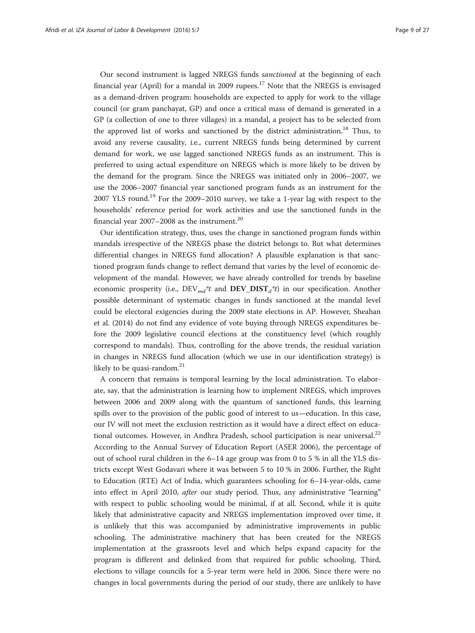Our second instrument is lagged NREGS funds sanctioned at the beginning of each financial year (April) for a mandal in 2009 rupees.<sup>17</sup> Note that the NREGS is envisaged as a demand-driven program: households are expected to apply for work to the village council (or gram panchayat, GP) and once a critical mass of demand is generated in a GP (a collection of one to three villages) in a mandal, a project has to be selected from the approved list of works and sanctioned by the district administration.18 Thus, to avoid any reverse causality, i.e., current NREGS funds being determined by current demand for work, we use lagged sanctioned NREGS funds as an instrument. This is preferred to using actual expenditure on NREGS which is more likely to be driven by the demand for the program. Since the NREGS was initiated only in 2006–2007, we use the 2006–2007 financial year sanctioned program funds as an instrument for the 2007 YLS round.<sup>19</sup> For the 2009–2010 survey, we take a 1-year lag with respect to the households' reference period for work activities and use the sanctioned funds in the financial year  $2007-2008$  as the instrument.<sup>20</sup>

Our identification strategy, thus, uses the change in sanctioned program funds within mandals irrespective of the NREGS phase the district belongs to. But what determines differential changes in NREGS fund allocation? A plausible explanation is that sanctioned program funds change to reflect demand that varies by the level of economic development of the mandal. However, we have already controlled for trends by baseline economic prosperity (i.e.,  $DEV_{md}^*t$  and  $DEV_DIST_d^*t$ ) in our specification. Another possible determinant of systematic changes in funds sanctioned at the mandal level could be electoral exigencies during the 2009 state elections in AP. However, Sheahan et al. ([2014\)](#page--1-0) do not find any evidence of vote buying through NREGS expenditures before the 2009 legislative council elections at the constituency level (which roughly correspond to mandals). Thus, controlling for the above trends, the residual variation in changes in NREGS fund allocation (which we use in our identification strategy) is likely to be quasi-random. $21$ 

A concern that remains is temporal learning by the local administration. To elaborate, say, that the administration is learning how to implement NREGS, which improves between 2006 and 2009 along with the quantum of sanctioned funds, this learning spills over to the provision of the public good of interest to us—education. In this case, our IV will not meet the exclusion restriction as it would have a direct effect on educational outcomes. However, in Andhra Pradesh, school participation is near universal.<sup>22</sup> According to the Annual Survey of Education Report (ASER [2006\)](#page-25-0), the percentage of out of school rural children in the 6–14 age group was from 0 to 5 % in all the YLS districts except West Godavari where it was between 5 to 10 % in 2006. Further, the Right to Education (RTE) Act of India, which guarantees schooling for 6–14-year-olds, came into effect in April 2010, after our study period. Thus, any administrative "learning" with respect to public schooling would be minimal, if at all. Second, while it is quite likely that administrative capacity and NREGS implementation improved over time, it is unlikely that this was accompanied by administrative improvements in public schooling. The administrative machinery that has been created for the NREGS implementation at the grassroots level and which helps expand capacity for the program is different and delinked from that required for public schooling. Third, elections to village councils for a 5-year term were held in 2006. Since there were no changes in local governments during the period of our study, there are unlikely to have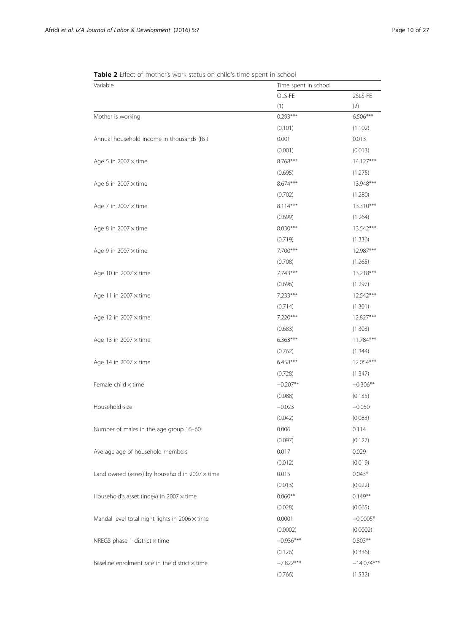| Variable                                              | Time spent in school |              |  |  |
|-------------------------------------------------------|----------------------|--------------|--|--|
|                                                       | OLS-FE               | 2SLS-FE      |  |  |
|                                                       | (1)                  | (2)          |  |  |
| Mother is working                                     | $0.293***$           | $6.506***$   |  |  |
|                                                       | (0.101)              | (1.102)      |  |  |
| Annual household income in thousands (Rs.)            | 0.001                | 0.013        |  |  |
|                                                       | (0.001)              | (0.013)      |  |  |
| Age 5 in $2007 \times$ time                           | 8.768***             | 14.127***    |  |  |
|                                                       | (0.695)              | (1.275)      |  |  |
| Age 6 in 2007 $\times$ time                           | 8.674***             | 13.948***    |  |  |
|                                                       | (0.702)              | (1.280)      |  |  |
| Age 7 in 2007 $\times$ time                           | $8.114***$           | 13.310***    |  |  |
|                                                       | (0.699)              | (1.264)      |  |  |
| Age 8 in $2007 \times$ time                           | 8.030***             | 13.542***    |  |  |
|                                                       | (0.719)              | (1.336)      |  |  |
| Age 9 in 2007 $\times$ time                           | 7.700***             | 12.987***    |  |  |
|                                                       | (0.708)              | (1.265)      |  |  |
| Age 10 in 2007 $\times$ time                          | $7.743***$           | 13.218***    |  |  |
|                                                       | (0.696)              | (1.297)      |  |  |
| Age 11 in 2007 $\times$ time                          | $7.233***$           | 12.542***    |  |  |
|                                                       | (0.714)              | (1.301)      |  |  |
| Age 12 in 2007 x time                                 | 7.220***             | 12.827***    |  |  |
|                                                       | (0.683)              | (1.303)      |  |  |
| Age 13 in 2007 $\times$ time                          | 6.363***             | 11.784***    |  |  |
|                                                       | (0.762)              | (1.344)      |  |  |
| Age 14 in 2007 $\times$ time                          | $6.458***$           | 12.054***    |  |  |
|                                                       | (0.728)              | (1.347)      |  |  |
| Female child x time                                   | $-0.207**$           | $-0.306**$   |  |  |
|                                                       | (0.088)              | (0.135)      |  |  |
| Household size                                        | $-0.023$             | $-0.050$     |  |  |
|                                                       | (0.042)              | (0.083)      |  |  |
| Number of males in the age group 16-60                | 0.006                | 0.114        |  |  |
|                                                       | (0.097)              | (0.127)      |  |  |
| Average age of household members                      | 0.017                | 0.029        |  |  |
|                                                       | (0.012)              | (0.019)      |  |  |
| Land owned (acres) by household in $2007 \times$ time | 0.015                | $0.043*$     |  |  |
|                                                       | (0.013)              | (0.022)      |  |  |
| Household's asset (index) in $2007 \times$ time       | $0.060**$            | $0.149**$    |  |  |
|                                                       | (0.028)              | (0.065)      |  |  |
| Mandal level total night lights in $2006 \times$ time | 0.0001               | $-0.0005*$   |  |  |
|                                                       | (0.0002)             | (0.0002)     |  |  |
| NREGS phase 1 district $\times$ time                  | $-0.936***$          | $0.803**$    |  |  |
|                                                       | (0.126)              | (0.336)      |  |  |
| Baseline enrolment rate in the district $\times$ time | $-7.822***$          | $-14.074***$ |  |  |
|                                                       | (0.766)              | (1.532)      |  |  |
|                                                       |                      |              |  |  |

<span id="page-9-0"></span>Table 2 Effect of mother's work status on child's time spent in school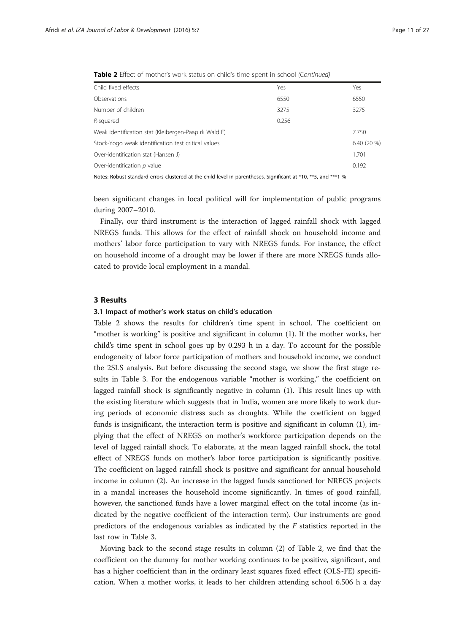| Child fixed effects                                  | Yes   | Yes          |
|------------------------------------------------------|-------|--------------|
| Observations                                         | 6550  | 6550         |
| Number of children                                   | 3275  | 3275         |
| R-squared                                            | 0.256 |              |
| Weak identification stat (Kleibergen-Paap rk Wald F) |       | 7.750        |
| Stock-Yogo weak identification test critical values  |       | $6.40(20\%)$ |
| Over-identification stat (Hansen J)                  |       | 1.701        |
| Over-identification $p$ value                        |       | 0.192        |

<span id="page-10-0"></span>Table 2 Effect of mother's work status on child's time spent in school (Continued)

Notes: Robust standard errors clustered at the child level in parentheses. Significant at \*10, \*\*5, and \*\*\*1 %

been significant changes in local political will for implementation of public programs during 2007–2010.

Finally, our third instrument is the interaction of lagged rainfall shock with lagged NREGS funds. This allows for the effect of rainfall shock on household income and mothers' labor force participation to vary with NREGS funds. For instance, the effect on household income of a drought may be lower if there are more NREGS funds allocated to provide local employment in a mandal.

#### 3 Results

#### 3.1 Impact of mother's work status on child's education

Table [2](#page-9-0) shows the results for children's time spent in school. The coefficient on "mother is working" is positive and significant in column (1). If the mother works, her child's time spent in school goes up by 0.293 h in a day. To account for the possible endogeneity of labor force participation of mothers and household income, we conduct the 2SLS analysis. But before discussing the second stage, we show the first stage results in Table [3](#page-11-0). For the endogenous variable "mother is working," the coefficient on lagged rainfall shock is significantly negative in column (1). This result lines up with the existing literature which suggests that in India, women are more likely to work during periods of economic distress such as droughts. While the coefficient on lagged funds is insignificant, the interaction term is positive and significant in column (1), implying that the effect of NREGS on mother's workforce participation depends on the level of lagged rainfall shock. To elaborate, at the mean lagged rainfall shock, the total effect of NREGS funds on mother's labor force participation is significantly positive. The coefficient on lagged rainfall shock is positive and significant for annual household income in column (2). An increase in the lagged funds sanctioned for NREGS projects in a mandal increases the household income significantly. In times of good rainfall, however, the sanctioned funds have a lower marginal effect on the total income (as indicated by the negative coefficient of the interaction term). Our instruments are good predictors of the endogenous variables as indicated by the F statistics reported in the last row in Table [3](#page-11-0).

Moving back to the second stage results in column (2) of Table [2,](#page-9-0) we find that the coefficient on the dummy for mother working continues to be positive, significant, and has a higher coefficient than in the ordinary least squares fixed effect (OLS-FE) specification. When a mother works, it leads to her children attending school 6.506 h a day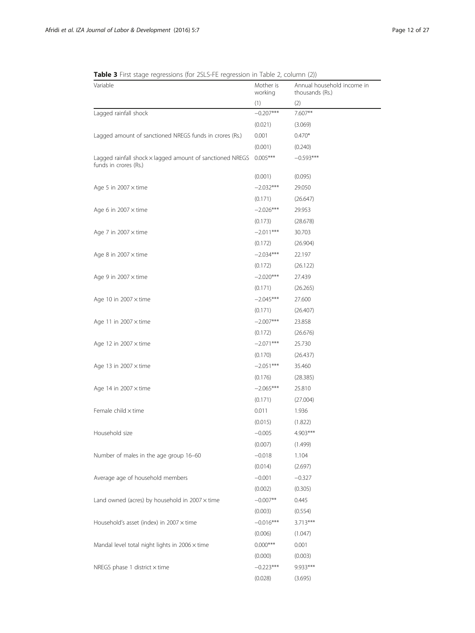<span id="page-11-0"></span>Table 3 First stage regressions (for 2SLS-FE regression in Table [2,](#page-9-0) column (2))

| Variable                                                                                  | Mother is<br>working | Annual household income in<br>thousands (Rs.) |  |  |
|-------------------------------------------------------------------------------------------|----------------------|-----------------------------------------------|--|--|
|                                                                                           | (1)                  | (2)                                           |  |  |
| Lagged rainfall shock                                                                     | $-0.207***$          | 7.607**                                       |  |  |
|                                                                                           | (0.021)              | (3.069)                                       |  |  |
| Lagged amount of sanctioned NREGS funds in crores (Rs.)                                   | 0.001                | $0.470*$                                      |  |  |
|                                                                                           | (0.001)              | (0.240)                                       |  |  |
| Lagged rainfall shock $\times$ lagged amount of sanctioned NREGS<br>funds in crores (Rs.) | $0.005***$           | $-0.593***$                                   |  |  |
|                                                                                           | (0.001)              | (0.095)                                       |  |  |
| Age 5 in 2007 $\times$ time                                                               | $-2.032***$          | 29.050                                        |  |  |
|                                                                                           | (0.171)              | (26.647)                                      |  |  |
| Age 6 in $2007 \times$ time                                                               | $-2.026***$          | 29.953                                        |  |  |
|                                                                                           | (0.173)              | (28.678)                                      |  |  |
| Age 7 in $2007 \times$ time                                                               | $-2.011***$          | 30.703                                        |  |  |
|                                                                                           | (0.172)              | (26.904)                                      |  |  |
| Age 8 in $2007 \times$ time                                                               | $-2.034***$          | 22.197                                        |  |  |
|                                                                                           | (0.172)              | (26.122)                                      |  |  |
| Age 9 in $2007 \times$ time                                                               | $-2.020***$          | 27.439                                        |  |  |
|                                                                                           | (0.171)              | (26.265)                                      |  |  |
| Age 10 in $2007 \times$ time                                                              | $-2.045***$          | 27.600                                        |  |  |
|                                                                                           | (0.171)              | (26.407)                                      |  |  |
| Age 11 in $2007 \times$ time                                                              | $-2.007***$          | 23.858                                        |  |  |
|                                                                                           | (0.172)              | (26.676)                                      |  |  |
| Age 12 in $2007 \times$ time                                                              | $-2.071***$          | 25.730                                        |  |  |
|                                                                                           | (0.170)              | (26.437)                                      |  |  |
| Age 13 in $2007 \times$ time                                                              | $-2.051***$          | 35.460                                        |  |  |
|                                                                                           | (0.176)              | (28.385)                                      |  |  |
| Age 14 in $2007 \times$ time                                                              | $-2.065***$          | 25.810                                        |  |  |
|                                                                                           | (0.171)              | (27.004)                                      |  |  |
| Female child x time                                                                       | 0.011                | 1.936                                         |  |  |
|                                                                                           | (0.015)              | (1.822)                                       |  |  |
| Household size                                                                            | $-0.005$             | 4.903***                                      |  |  |
|                                                                                           | (0.007)              | (1.499)                                       |  |  |
| Number of males in the age group 16-60                                                    | $-0.018$             | 1.104                                         |  |  |
|                                                                                           | (0.014)              | (2.697)                                       |  |  |
| Average age of household members                                                          | $-0.001$             | $-0.327$                                      |  |  |
|                                                                                           | (0.002)              | (0.305)                                       |  |  |
| Land owned (acres) by household in $2007 \times$ time                                     | $-0.007**$           | 0.445                                         |  |  |
|                                                                                           | (0.003)              | (0.554)                                       |  |  |
| Household's asset (index) in 2007 x time                                                  | $-0.016***$          | 3.713***                                      |  |  |
|                                                                                           | (0.006)              | (1.047)                                       |  |  |
| Mandal level total night lights in $2006 \times$ time                                     | $0.000***$           | 0.001                                         |  |  |
|                                                                                           | (0.000)              | (0.003)                                       |  |  |
| NREGS phase 1 district $\times$ time                                                      | $-0.223***$          | 9.933***                                      |  |  |
|                                                                                           | (0.028)              | (3.695)                                       |  |  |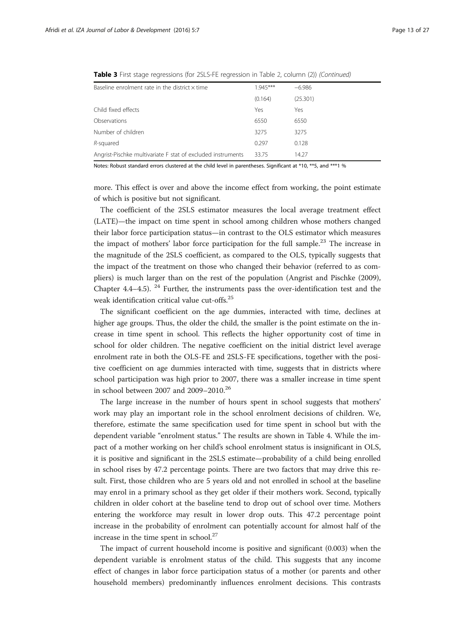| Baseline enrolment rate in the district $\times$ time       | $1.945***$ | $-6.986$ |
|-------------------------------------------------------------|------------|----------|
|                                                             | (0.164)    | (25.301) |
| Child fixed effects                                         | Yes        | Yes      |
| Observations                                                | 6550       | 6550     |
| Number of children                                          | 3275       | 3275     |
| R-squared                                                   | 0.297      | 0.128    |
| Angrist-Pischke multivariate F stat of excluded instruments | 33.75      | 14.27    |

Table 3 First stage regressions (for 2SLS-FE regression in Table [2,](#page-19-0) column (2)) (Continued)

Notes: Robust standard errors clustered at the child level in parentheses. Significant at \*10, \*\*5, and \*\*\*1 %

more. This effect is over and above the income effect from working, the point estimate of which is positive but not significant.

The coefficient of the 2SLS estimator measures the local average treatment effect (LATE)—the impact on time spent in school among children whose mothers changed their labor force participation status—in contrast to the OLS estimator which measures the impact of mothers' labor force participation for the full sample.<sup>23</sup> The increase in the magnitude of the 2SLS coefficient, as compared to the OLS, typically suggests that the impact of the treatment on those who changed their behavior (referred to as compliers) is much larger than on the rest of the population (Angrist and Pischke ([2009](#page-25-0)), Chapter 4.4–4.5).  $24$  Further, the instruments pass the over-identification test and the weak identification critical value cut-offs.<sup>25</sup>

The significant coefficient on the age dummies, interacted with time, declines at higher age groups. Thus, the older the child, the smaller is the point estimate on the increase in time spent in school. This reflects the higher opportunity cost of time in school for older children. The negative coefficient on the initial district level average enrolment rate in both the OLS-FE and 2SLS-FE specifications, together with the positive coefficient on age dummies interacted with time, suggests that in districts where school participation was high prior to 2007, there was a smaller increase in time spent in school between 2007 and 2009–2010.26

The large increase in the number of hours spent in school suggests that mothers' work may play an important role in the school enrolment decisions of children. We, therefore, estimate the same specification used for time spent in school but with the dependent variable "enrolment status." The results are shown in Table [4](#page-13-0). While the impact of a mother working on her child's school enrolment status is insignificant in OLS, it is positive and significant in the 2SLS estimate—probability of a child being enrolled in school rises by 47.2 percentage points. There are two factors that may drive this result. First, those children who are 5 years old and not enrolled in school at the baseline may enrol in a primary school as they get older if their mothers work. Second, typically children in older cohort at the baseline tend to drop out of school over time. Mothers entering the workforce may result in lower drop outs. This 47.2 percentage point increase in the probability of enrolment can potentially account for almost half of the increase in the time spent in school.<sup>27</sup>

The impact of current household income is positive and significant (0.003) when the dependent variable is enrolment status of the child. This suggests that any income effect of changes in labor force participation status of a mother (or parents and other household members) predominantly influences enrolment decisions. This contrasts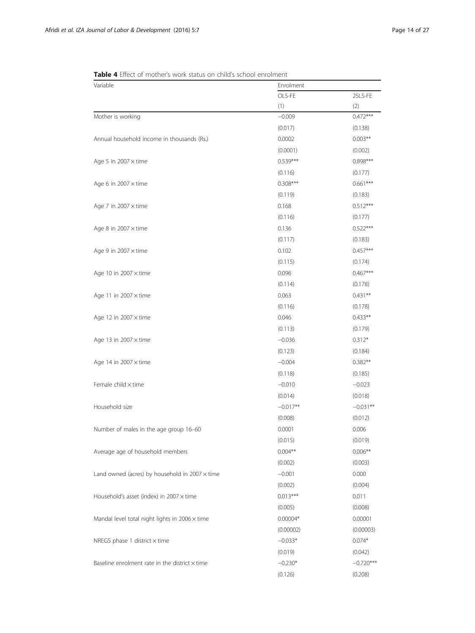| Variable                                              | Enrolment  |             |  |  |
|-------------------------------------------------------|------------|-------------|--|--|
|                                                       | OLS-FE     | 2SLS-FE     |  |  |
|                                                       | (1)        | (2)         |  |  |
| Mother is working                                     | $-0.009$   | $0.472***$  |  |  |
|                                                       | (0.017)    | (0.138)     |  |  |
| Annual household income in thousands (Rs.)            | 0.0002     | $0.003**$   |  |  |
|                                                       | (0.0001)   | (0.002)     |  |  |
| Age 5 in 2007 $\times$ time                           | $0.539***$ | $0.898***$  |  |  |
|                                                       | (0.116)    | (0.177)     |  |  |
| Age 6 in $2007 \times$ time                           | $0.308***$ | $0.661***$  |  |  |
|                                                       | (0.119)    | (0.183)     |  |  |
| Age 7 in 2007 $\times$ time                           | 0.168      | $0.512***$  |  |  |
|                                                       | (0.116)    | (0.177)     |  |  |
| Age 8 in $2007 \times$ time                           | 0.136      | $0.522***$  |  |  |
|                                                       | (0.117)    | (0.183)     |  |  |
| Age 9 in 2007 $\times$ time                           | 0.102      | $0.457***$  |  |  |
|                                                       | (0.115)    | (0.174)     |  |  |
| Age 10 in $2007 \times$ time                          | 0.096      | $0.467***$  |  |  |
|                                                       | (0.114)    | (0.178)     |  |  |
| Age 11 in $2007 \times$ time                          | 0.063      | $0.431**$   |  |  |
|                                                       | (0.116)    | (0.178)     |  |  |
| Age 12 in $2007 \times$ time                          | 0.046      | $0.433**$   |  |  |
|                                                       | (0.113)    | (0.179)     |  |  |
| Age 13 in $2007 \times$ time                          | $-0.036$   | $0.312*$    |  |  |
|                                                       | (0.123)    | (0.184)     |  |  |
| Age 14 in $2007 \times$ time                          | $-0.004$   | $0.382**$   |  |  |
|                                                       | (0.118)    | (0.185)     |  |  |
| Female child x time                                   | $-0.010$   | $-0.023$    |  |  |
|                                                       | (0.014)    | (0.018)     |  |  |
| Household size                                        | $-0.017**$ | $-0.031**$  |  |  |
|                                                       | (0.008)    | (0.012)     |  |  |
| Number of males in the age group 16-60                | 0.0001     | 0.006       |  |  |
|                                                       | (0.015)    | (0.019)     |  |  |
| Average age of household members                      | $0.004**$  | $0.006**$   |  |  |
|                                                       | (0.002)    | (0.003)     |  |  |
| Land owned (acres) by household in $2007 \times$ time | $-0.001$   | 0.000       |  |  |
|                                                       | (0.002)    | (0.004)     |  |  |
| Household's asset (index) in $2007 \times$ time       | $0.013***$ | 0.011       |  |  |
|                                                       | (0.005)    | (0.008)     |  |  |
| Mandal level total night lights in $2006 \times$ time | $0.00004*$ | 0.00001     |  |  |
|                                                       | (0.00002)  | (0.00003)   |  |  |
| NREGS phase 1 district $\times$ time                  | $-0.033*$  | $0.074*$    |  |  |
|                                                       | (0.019)    | (0.042)     |  |  |
| Baseline enrolment rate in the district $\times$ time | $-0.230*$  | $-0.720***$ |  |  |
|                                                       | (0.126)    | (0.208)     |  |  |

<span id="page-13-0"></span>Table 4 Effect of mother's work status on child's school enrolment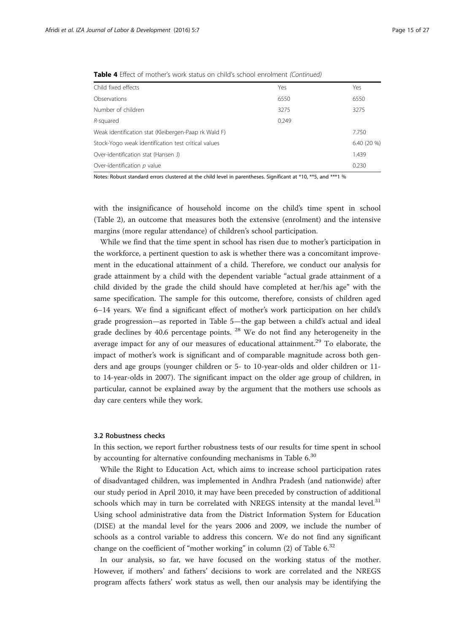| Child fixed effects                                  | Yes   | Yes          |
|------------------------------------------------------|-------|--------------|
| Observations                                         | 6550  | 6550         |
| Number of children                                   | 3275  | 3275         |
| R-squared                                            | 0.249 |              |
| Weak identification stat (Kleibergen-Paap rk Wald F) |       | 7.750        |
| Stock-Yogo weak identification test critical values  |       | $6.40(20\%)$ |
| Over-identification stat (Hansen J)                  |       | 1.439        |
| Over-identification $p$ value                        |       | 0.230        |

**Table 4** Effect of mother's work status on child's school enrolment (Continued)

Notes: Robust standard errors clustered at the child level in parentheses. Significant at \*10, \*\*5, and \*\*\*1 %

with the insignificance of household income on the child's time spent in school (Table [2](#page-9-0)), an outcome that measures both the extensive (enrolment) and the intensive margins (more regular attendance) of children's school participation.

While we find that the time spent in school has risen due to mother's participation in the workforce, a pertinent question to ask is whether there was a concomitant improvement in the educational attainment of a child. Therefore, we conduct our analysis for grade attainment by a child with the dependent variable "actual grade attainment of a child divided by the grade the child should have completed at her/his age" with the same specification. The sample for this outcome, therefore, consists of children aged 6–14 years. We find a significant effect of mother's work participation on her child's grade progression—as reported in Table [5](#page-15-0)—the gap between a child's actual and ideal grade declines by 40.6 percentage points.  $28$  We do not find any heterogeneity in the average impact for any of our measures of educational attainment.<sup>29</sup> To elaborate, the impact of mother's work is significant and of comparable magnitude across both genders and age groups (younger children or 5- to 10-year-olds and older children or 11 to 14-year-olds in 2007). The significant impact on the older age group of children, in particular, cannot be explained away by the argument that the mothers use schools as day care centers while they work.

#### 3.2 Robustness checks

In this section, we report further robustness tests of our results for time spent in school by accounting for alternative confounding mechanisms in Table [6](#page-16-0).<sup>30</sup>

While the Right to Education Act, which aims to increase school participation rates of disadvantaged children, was implemented in Andhra Pradesh (and nationwide) after our study period in April 2010, it may have been preceded by construction of additional schools which may in turn be correlated with NREGS intensity at the mandal level. $31$ Using school administrative data from the District Information System for Education (DISE) at the mandal level for the years 2006 and 2009, we include the number of schools as a control variable to address this concern. We do not find any significant change on the coefficient of "mother working" in column (2) of Table  $6^{32}$ 

In our analysis, so far, we have focused on the working status of the mother. However, if mothers' and fathers' decisions to work are correlated and the NREGS program affects fathers' work status as well, then our analysis may be identifying the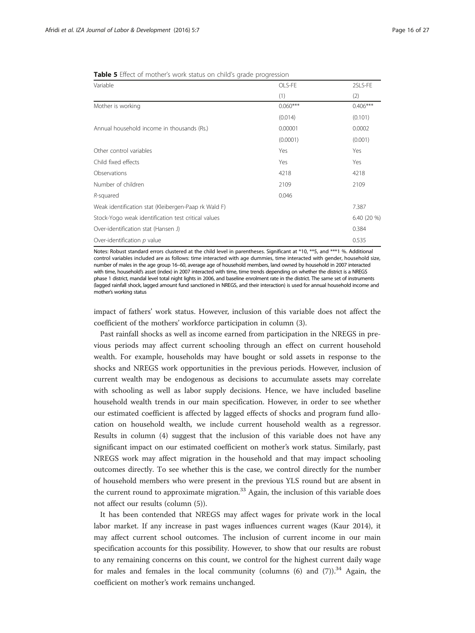<span id="page-15-0"></span>Table 5 Effect of mother's work status on child's grade progression

| Variable                                             | OLS-FE     | 2SLS-FE     |
|------------------------------------------------------|------------|-------------|
|                                                      | (1)        | (2)         |
| Mother is working                                    | $0.060***$ | $0.406***$  |
|                                                      | (0.014)    | (0.101)     |
| Annual household income in thousands (Rs.)           | 0.00001    | 0.0002      |
|                                                      | (0.0001)   | (0.001)     |
| Other control variables                              | Yes        | Yes         |
| Child fixed effects                                  | Yes        | Yes         |
| Observations                                         | 4218       | 4218        |
| Number of children                                   | 2109       | 2109        |
| R-squared                                            | 0.046      |             |
| Weak identification stat (Kleibergen-Paap rk Wald F) |            | 7.387       |
| Stock-Yogo weak identification test critical values  |            | 6.40 (20 %) |
| Over-identification stat (Hansen J)                  |            | 0.384       |
| Over-identification p value                          |            | 0.535       |

Notes: Robust standard errors clustered at the child level in parentheses. Significant at \*10, \*\*5, and \*\*\*1 %. Additional control variables included are as follows: time interacted with age dummies, time interacted with gender, household size, number of males in the age group 16–60, average age of household members, land owned by household in 2007 interacted with time, household's asset (index) in 2007 interacted with time, time trends depending on whether the district is a NREGS phase 1 district, mandal level total night lights in 2006, and baseline enrolment rate in the district. The same set of instruments (lagged rainfall shock, lagged amount fund sanctioned in NREGS, and their interaction) is used for annual household income and mother's working status

impact of fathers' work status. However, inclusion of this variable does not affect the coefficient of the mothers' workforce participation in column (3).

Past rainfall shocks as well as income earned from participation in the NREGS in previous periods may affect current schooling through an effect on current household wealth. For example, households may have bought or sold assets in response to the shocks and NREGS work opportunities in the previous periods. However, inclusion of current wealth may be endogenous as decisions to accumulate assets may correlate with schooling as well as labor supply decisions. Hence, we have included baseline household wealth trends in our main specification. However, in order to see whether our estimated coefficient is affected by lagged effects of shocks and program fund allocation on household wealth, we include current household wealth as a regressor. Results in column (4) suggest that the inclusion of this variable does not have any significant impact on our estimated coefficient on mother's work status. Similarly, past NREGS work may affect migration in the household and that may impact schooling outcomes directly. To see whether this is the case, we control directly for the number of household members who were present in the previous YLS round but are absent in the current round to approximate migration. $33$  Again, the inclusion of this variable does not affect our results (column (5)).

It has been contended that NREGS may affect wages for private work in the local labor market. If any increase in past wages influences current wages (Kaur [2014](#page--1-0)), it may affect current school outcomes. The inclusion of current income in our main specification accounts for this possibility. However, to show that our results are robust to any remaining concerns on this count, we control for the highest current daily wage for males and females in the local community (columns  $(6)$  and  $(7)$ ).<sup>34</sup> Again, the coefficient on mother's work remains unchanged.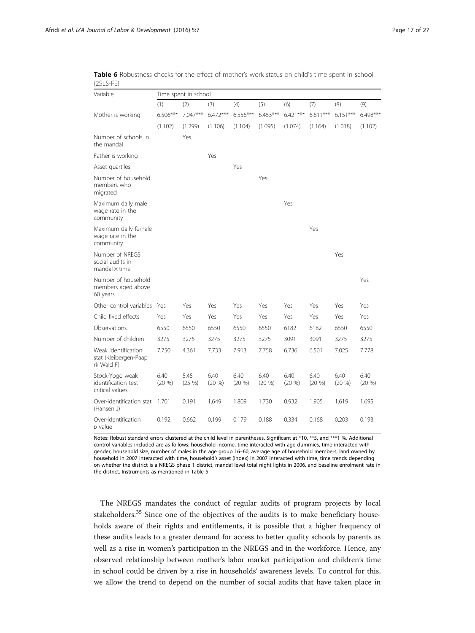<span id="page-16-0"></span>Table 6 Robustness checks for the effect of mother's work status on child's time spent in school (2SLS-FE)

| Variable                                                       | Time spent in school |                   |                   |                   |                   |                   |                   |                   |                   |
|----------------------------------------------------------------|----------------------|-------------------|-------------------|-------------------|-------------------|-------------------|-------------------|-------------------|-------------------|
|                                                                | (1)                  | (2)               | (3)               | (4)               | (5)               | (6)               | (7)               | (8)               | (9)               |
| Mother is working                                              | $6.506***$           | $7.047***$        | $6.472***$        | $6.556***$        | $6.453***$        | $6.421***$        | $6.611***$        | $6.151***$        | $6.498***$        |
|                                                                | (1.102)              | (1.299)           | (1.106)           | (1.104)           | (1.095)           | (1.074)           | (1.164)           | (1.018)           | (1.102)           |
| Number of schools in<br>the mandal                             |                      | Yes               |                   |                   |                   |                   |                   |                   |                   |
| Father is working                                              |                      |                   | Yes               |                   |                   |                   |                   |                   |                   |
| Asset quartiles                                                |                      |                   |                   | Yes               |                   |                   |                   |                   |                   |
| Number of household<br>members who<br>migrated                 |                      |                   |                   |                   | Yes               |                   |                   |                   |                   |
| Maximum daily male<br>wage rate in the<br>community            |                      |                   |                   |                   |                   | Yes               |                   |                   |                   |
| Maximum daily female<br>wage rate in the<br>community          |                      |                   |                   |                   |                   |                   | Yes               |                   |                   |
| Number of NREGS<br>social audits in<br>$m$ andal $\times$ time |                      |                   |                   |                   |                   |                   |                   | Yes               |                   |
| Number of household<br>members aged above<br>60 years          |                      |                   |                   |                   |                   |                   |                   |                   | Yes               |
| Other control variables                                        | Yes                  | Yes               | Yes               | Yes               | Yes               | Yes               | Yes               | Yes               | Yes               |
| Child fixed effects                                            | Yes                  | Yes               | Yes               | Yes               | Yes               | Yes               | Yes               | Yes               | Yes               |
| Observations                                                   | 6550                 | 6550              | 6550              | 6550              | 6550              | 6182              | 6182              | 6550              | 6550              |
| Number of children                                             | 3275                 | 3275              | 3275              | 3275              | 3275              | 3091              | 3091              | 3275              | 3275              |
| Weak identification<br>stat (Kleibergen-Paap<br>rk Wald F)     | 7.750                | 4.361             | 7.733             | 7.913             | 7.758             | 6.736             | 6.501             | 7.025             | 7.778             |
| Stock-Yogo weak<br>identification test<br>critical values      | 6.40<br>(20, 96)     | 5.45<br>$(25 \%)$ | 6.40<br>$(20 \%)$ | 6.40<br>$(20 \%)$ | 6.40<br>$(20 \%)$ | 6.40<br>$(20 \%)$ | 6.40<br>$(20 \%)$ | 6.40<br>$(20 \%)$ | 6.40<br>$(20\% )$ |
| Over-identification stat<br>(Hansen J)                         | 1.701                | 0.191             | 1.649             | 1.809             | 1.730             | 0.932             | 1.905             | 1.619             | 1.695             |
| Over-identification<br>p value                                 | 0.192                | 0.662             | 0.199             | 0.179             | 0.188             | 0.334             | 0.168             | 0.203             | 0.193             |

Notes: Robust standard errors clustered at the child level in parentheses. Significant at \*10, \*\*5, and \*\*\*1 %. Additional control variables included are as follows: household income, time interacted with age dummies, time interacted with gender, household size, number of males in the age group 16–60, average age of household members, land owned by household in 2007 interacted with time, household's asset (index) in 2007 interacted with time, time trends depending on whether the district is a NREGS phase 1 district, mandal level total night lights in 2006, and baseline enrolment rate in the district. Instruments as mentioned in Table [5](#page-15-0)

The NREGS mandates the conduct of regular audits of program projects by local stakeholders.<sup>35</sup> Since one of the objectives of the audits is to make beneficiary households aware of their rights and entitlements, it is possible that a higher frequency of these audits leads to a greater demand for access to better quality schools by parents as well as a rise in women's participation in the NREGS and in the workforce. Hence, any observed relationship between mother's labor market participation and children's time in school could be driven by a rise in households' awareness levels. To control for this, we allow the trend to depend on the number of social audits that have taken place in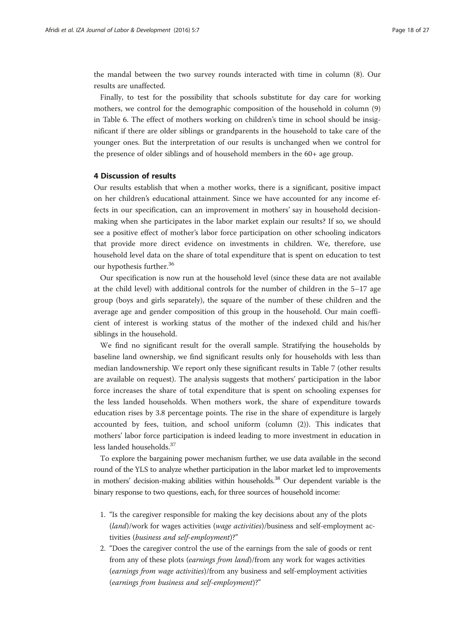<span id="page-17-0"></span>the mandal between the two survey rounds interacted with time in column (8). Our results are unaffected.

Finally, to test for the possibility that schools substitute for day care for working mothers, we control for the demographic composition of the household in column (9) in Table [6](#page-16-0). The effect of mothers working on children's time in school should be insignificant if there are older siblings or grandparents in the household to take care of the younger ones. But the interpretation of our results is unchanged when we control for the presence of older siblings and of household members in the 60+ age group.

### 4 Discussion of results

Our results establish that when a mother works, there is a significant, positive impact on her children's educational attainment. Since we have accounted for any income effects in our specification, can an improvement in mothers' say in household decisionmaking when she participates in the labor market explain our results? If so, we should see a positive effect of mother's labor force participation on other schooling indicators that provide more direct evidence on investments in children. We, therefore, use household level data on the share of total expenditure that is spent on education to test our hypothesis further.<sup>36</sup>

Our specification is now run at the household level (since these data are not available at the child level) with additional controls for the number of children in the 5–17 age group (boys and girls separately), the square of the number of these children and the average age and gender composition of this group in the household. Our main coefficient of interest is working status of the mother of the indexed child and his/her siblings in the household.

We find no significant result for the overall sample. Stratifying the households by baseline land ownership, we find significant results only for households with less than median landownership. We report only these significant results in Table [7](#page-18-0) (other results are available on request). The analysis suggests that mothers' participation in the labor force increases the share of total expenditure that is spent on schooling expenses for the less landed households. When mothers work, the share of expenditure towards education rises by 3.8 percentage points. The rise in the share of expenditure is largely accounted by fees, tuition, and school uniform (column (2)). This indicates that mothers' labor force participation is indeed leading to more investment in education in less landed households.<sup>37</sup>

To explore the bargaining power mechanism further, we use data available in the second round of the YLS to analyze whether participation in the labor market led to improvements in mothers' decision-making abilities within households.<sup>38</sup> Our dependent variable is the binary response to two questions, each, for three sources of household income:

- 1. "Is the caregiver responsible for making the key decisions about any of the plots (land)/work for wages activities (wage activities)/business and self-employment activities (business and self-employment)?"
- 2. "Does the caregiver control the use of the earnings from the sale of goods or rent from any of these plots (earnings from land)/from any work for wages activities (earnings from wage activities)/from any business and self-employment activities (earnings from business and self-employment)?"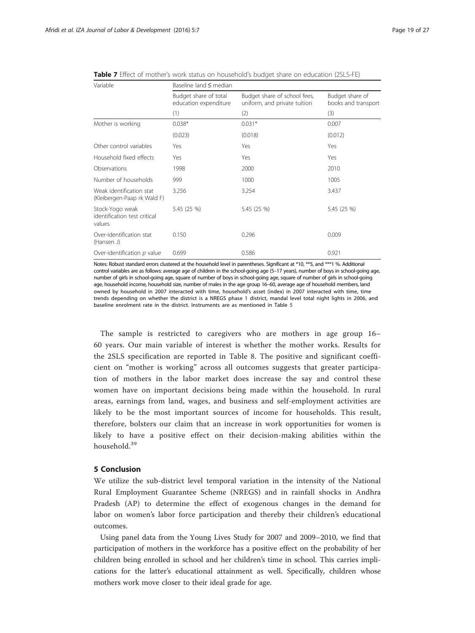| Variable                                                  | Baseline land $\leq$ median                    |                                                              |                                        |  |  |  |
|-----------------------------------------------------------|------------------------------------------------|--------------------------------------------------------------|----------------------------------------|--|--|--|
|                                                           | Budget share of total<br>education expenditure | Budget share of school fees,<br>uniform, and private tuition | Budget share of<br>books and transport |  |  |  |
|                                                           | (1)                                            | (2)                                                          | (3)                                    |  |  |  |
| Mother is working                                         | $0.038*$                                       | $0.031*$                                                     | 0.007                                  |  |  |  |
|                                                           | (0.023)                                        | (0.018)                                                      | (0.012)                                |  |  |  |
| Other control variables                                   | Yes                                            | Yes                                                          | Yes                                    |  |  |  |
| Household fixed effects                                   | Yes                                            | Yes                                                          | Yes                                    |  |  |  |
| Observations                                              | 1998                                           | 2000                                                         | 2010                                   |  |  |  |
| Number of households                                      | 999                                            | 1000                                                         | 1005                                   |  |  |  |
| Weak identification stat<br>(Kleibergen-Paap rk Wald F)   | 3.256                                          | 3.254                                                        | 3.437                                  |  |  |  |
| Stock-Yogo weak<br>identification test critical<br>values | 5.45 (25 %)                                    | 5.45 (25 %)                                                  | 5.45 (25 %)                            |  |  |  |
| Over-identification stat<br>(Hansen J)                    | 0.150                                          | 0.296                                                        | 0.009                                  |  |  |  |
| Over-identification $p$ value                             | 0.699                                          | 0.586                                                        | 0.921                                  |  |  |  |

<span id="page-18-0"></span>Table 7 Effect of mother's work status on household's budget share on education (2SLS-FE)

Notes: Robust standard errors clustered at the household level in parentheses. Significant at \*10, \*\*5, and \*\*\*1 %. Additional control variables are as follows: average age of children in the school-going age (5–17 years), number of boys in school-going age, number of girls in school-going age, square of number of boys in school-going age, square of number of girls in school-going age, household income, household size, number of males in the age group 16–60, average age of household members, land owned by household in 2007 interacted with time, household's asset (index) in 2007 interacted with time, time trends depending on whether the district is a NREGS phase 1 district, mandal level total night lights in 2006, and baseline enrolment rate in the district. Instruments are as mentioned in Table [5](#page-15-0)

The sample is restricted to caregivers who are mothers in age group 16– 60 years. Our main variable of interest is whether the mother works. Results for the 2SLS specification are reported in Table [8](#page-19-0). The positive and significant coefficient on "mother is working" across all outcomes suggests that greater participation of mothers in the labor market does increase the say and control these women have on important decisions being made within the household. In rural areas, earnings from land, wages, and business and self-employment activities are likely to be the most important sources of income for households. This result, therefore, bolsters our claim that an increase in work opportunities for women is likely to have a positive effect on their decision-making abilities within the household.<sup>39</sup>

### 5 Conclusion

We utilize the sub-district level temporal variation in the intensity of the National Rural Employment Guarantee Scheme (NREGS) and in rainfall shocks in Andhra Pradesh (AP) to determine the effect of exogenous changes in the demand for labor on women's labor force participation and thereby their children's educational outcomes.

Using panel data from the Young Lives Study for 2007 and 2009–2010, we find that participation of mothers in the workforce has a positive effect on the probability of her children being enrolled in school and her children's time in school. This carries implications for the latter's educational attainment as well. Specifically, children whose mothers work move closer to their ideal grade for age.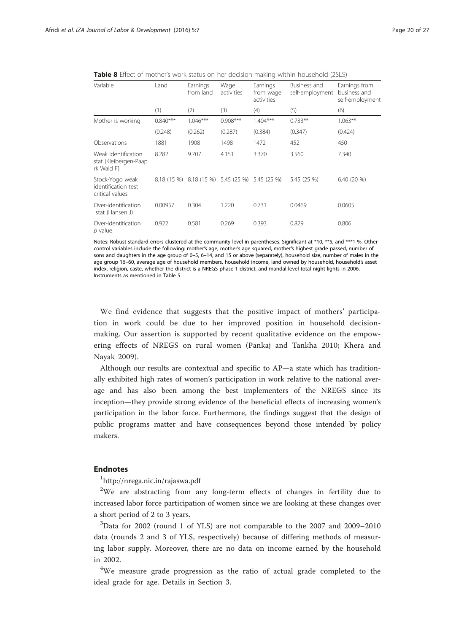<span id="page-19-0"></span>

| <b>Table 8</b> Effect of mother's work status on her decision-making within household (2SLS) |  |
|----------------------------------------------------------------------------------------------|--|
|----------------------------------------------------------------------------------------------|--|

| Variable                                                   | Land       | Earnings<br>from land                           | Wage<br>activities | Earnings<br>from wage<br>activities | Business and<br>self-employment | Earnings from<br>business and<br>self-employment |
|------------------------------------------------------------|------------|-------------------------------------------------|--------------------|-------------------------------------|---------------------------------|--------------------------------------------------|
|                                                            | (1)        | (2)                                             | (3)                | (4)                                 | (5)                             | (6)                                              |
| Mother is working                                          | $0.840***$ | $1.046***$                                      | $0.908***$         | $1.404***$                          | $0.733**$                       | $1.063**$                                        |
|                                                            | (0.248)    | (0.262)                                         | (0.287)            | (0.384)                             | (0.347)                         | (0.424)                                          |
| Observations                                               | 1881       | 1908                                            | 1498               | 1472                                | 452                             | 450                                              |
| Weak identification<br>stat (Kleibergen-Paap<br>rk Wald F) | 8.282      | 9.707                                           | 4.151              | 3.370                               | 3.560                           | 7.340                                            |
| Stock-Yogo weak<br>identification test<br>critical values  |            | 8.18 (15 %) 8.18 (15 %) 5.45 (25 %) 5.45 (25 %) |                    |                                     | 5.45 (25 %)                     | 6.40(20%                                         |
| Over-identification<br>stat (Hansen J)                     | 0.00957    | 0.304                                           | 1.220              | 0.731                               | 0.0469                          | 0.0605                                           |
| Over-identification<br>p value                             | 0.922      | 0.581                                           | 0.269              | 0.393                               | 0.829                           | 0.806                                            |

Notes: Robust standard errors clustered at the community level in parentheses. Significant at \*10, \*\*5, and \*\*\*1 %. Other control variables include the following: mother's age, mother's age squared, mother's highest grade passed, number of sons and daughters in the age group of 0–5, 6–14, and 15 or above (separately), household size, number of males in the age group 16–60, average age of household members, household income, land owned by household, household's asset index, religion, caste, whether the district is a NREGS phase 1 district, and mandal level total night lights in 2006. Instruments as mentioned in Table [5](#page-15-0)

We find evidence that suggests that the positive impact of mothers' participation in work could be due to her improved position in household decisionmaking. Our assertion is supported by recent qualitative evidence on the empowering effects of NREGS on rural women (Pankaj and Tankha [2010;](#page--1-0) Khera and Nayak [2009](#page--1-0)).

Although our results are contextual and specific to AP—a state which has traditionally exhibited high rates of women's participation in work relative to the national average and has also been among the best implementers of the NREGS since its inception—they provide strong evidence of the beneficial effects of increasing women's participation in the labor force. Furthermore, the findings suggest that the design of public programs matter and have consequences beyond those intended by policy makers.

### Endnotes

1 <http://nrega.nic.in/rajaswa.pdf>

 $2$ We are abstracting from any long-term effects of changes in fertility due to increased labor force participation of women since we are looking at these changes over a short period of 2 to 3 years.

<sup>3</sup>Data for 2002 (round 1 of YLS) are not comparable to the 2007 and 2009-2010 data (rounds 2 and 3 of YLS, respectively) because of differing methods of measuring labor supply. Moreover, there are no data on income earned by the household in 2002.

<sup>4</sup>We measure grade progression as the ratio of actual grade completed to the ideal grade for age. Details in Section [3](#page-10-0).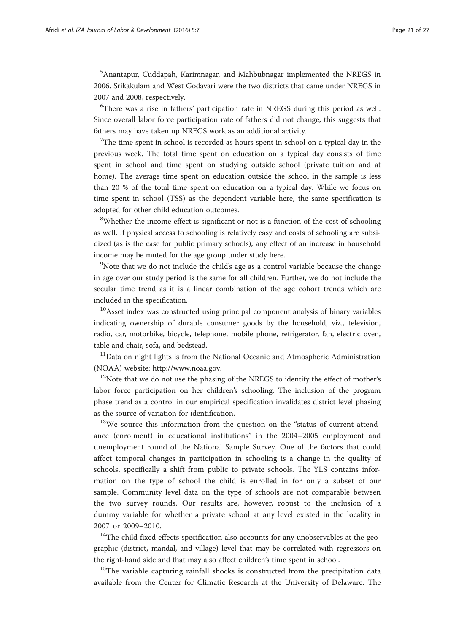5 Anantapur, Cuddapah, Karimnagar, and Mahbubnagar implemented the NREGS in 2006. Srikakulam and West Godavari were the two districts that came under NREGS in 2007 and 2008, respectively.

<sup>6</sup>There was a rise in fathers' participation rate in NREGS during this period as well. Since overall labor force participation rate of fathers did not change, this suggests that fathers may have taken up NREGS work as an additional activity.

 $7$ The time spent in school is recorded as hours spent in school on a typical day in the previous week. The total time spent on education on a typical day consists of time spent in school and time spent on studying outside school (private tuition and at home). The average time spent on education outside the school in the sample is less than 20 % of the total time spent on education on a typical day. While we focus on time spent in school (TSS) as the dependent variable here, the same specification is adopted for other child education outcomes.

<sup>8</sup>Whether the income effect is significant or not is a function of the cost of schooling as well. If physical access to schooling is relatively easy and costs of schooling are subsidized (as is the case for public primary schools), any effect of an increase in household income may be muted for the age group under study here.

<sup>9</sup>Note that we do not include the child's age as a control variable because the change in age over our study period is the same for all children. Further, we do not include the secular time trend as it is a linear combination of the age cohort trends which are included in the specification.

<sup>10</sup>Asset index was constructed using principal component analysis of binary variables indicating ownership of durable consumer goods by the household, viz., television, radio, car, motorbike, bicycle, telephone, mobile phone, refrigerator, fan, electric oven, table and chair, sofa, and bedstead.

 $11$ Data on night lights is from the National Oceanic and Atmospheric Administration (NOAA) website: [http://www.noaa.gov.](http://www.noaa.gov)

<sup>12</sup>Note that we do not use the phasing of the NREGS to identify the effect of mother's labor force participation on her children's schooling. The inclusion of the program phase trend as a control in our empirical specification invalidates district level phasing as the source of variation for identification.

 $13\text{We}$  source this information from the question on the "status of current attendance (enrolment) in educational institutions" in the 2004–2005 employment and unemployment round of the National Sample Survey. One of the factors that could affect temporal changes in participation in schooling is a change in the quality of schools, specifically a shift from public to private schools. The YLS contains information on the type of school the child is enrolled in for only a subset of our sample. Community level data on the type of schools are not comparable between the two survey rounds. Our results are, however, robust to the inclusion of a dummy variable for whether a private school at any level existed in the locality in 2007 or 2009–2010.

<sup>14</sup>The child fixed effects specification also accounts for any unobservables at the geographic (district, mandal, and village) level that may be correlated with regressors on the right-hand side and that may also affect children's time spent in school.

<sup>15</sup>The variable capturing rainfall shocks is constructed from the precipitation data available from the Center for Climatic Research at the University of Delaware. The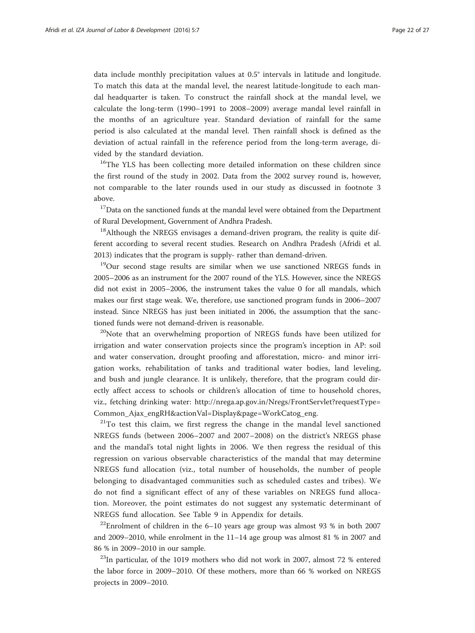data include monthly precipitation values at 0.5° intervals in latitude and longitude. To match this data at the mandal level, the nearest latitude-longitude to each mandal headquarter is taken. To construct the rainfall shock at the mandal level, we calculate the long-term (1990–1991 to 2008–2009) average mandal level rainfall in the months of an agriculture year. Standard deviation of rainfall for the same period is also calculated at the mandal level. Then rainfall shock is defined as the deviation of actual rainfall in the reference period from the long-term average, divided by the standard deviation.

<sup>16</sup>The YLS has been collecting more detailed information on these children since the first round of the study in 2002. Data from the 2002 survey round is, however, not comparable to the later rounds used in our study as discussed in footnote 3 above.

 $17$ Data on the sanctioned funds at the mandal level were obtained from the Department of Rural Development, Government of Andhra Pradesh.

 $18$ Although the NREGS envisages a demand-driven program, the reality is quite different according to several recent studies. Research on Andhra Pradesh (Afridi et al. [2013](#page-25-0)) indicates that the program is supply- rather than demand-driven.

<sup>19</sup>Our second stage results are similar when we use sanctioned NREGS funds in 2005–2006 as an instrument for the 2007 round of the YLS. However, since the NREGS did not exist in 2005–2006, the instrument takes the value 0 for all mandals, which makes our first stage weak. We, therefore, use sanctioned program funds in 2006–2007 instead. Since NREGS has just been initiated in 2006, the assumption that the sanctioned funds were not demand-driven is reasonable.

<sup>20</sup>Note that an overwhelming proportion of NREGS funds have been utilized for irrigation and water conservation projects since the program's inception in AP: soil and water conservation, drought proofing and afforestation, micro- and minor irrigation works, rehabilitation of tanks and traditional water bodies, land leveling, and bush and jungle clearance. It is unlikely, therefore, that the program could directly affect access to schools or children's allocation of time to household chores, viz., fetching drinking water: [http://nrega.ap.gov.in/Nregs/FrontServlet?requestType=](http://nrega.ap.gov.in/Nregs/FrontServlet?requestType=Common_Ajax_engRH&actionVal=Display&page=WorkCatog_eng) [Common\\_Ajax\\_engRH&actionVal=Display&page=WorkCatog\\_eng.](http://nrega.ap.gov.in/Nregs/FrontServlet?requestType=Common_Ajax_engRH&actionVal=Display&page=WorkCatog_eng)

 $21$ To test this claim, we first regress the change in the mandal level sanctioned NREGS funds (between 2006–2007 and 2007–2008) on the district's NREGS phase and the mandal's total night lights in 2006. We then regress the residual of this regression on various observable characteristics of the mandal that may determine NREGS fund allocation (viz., total number of households, the number of people belonging to disadvantaged communities such as scheduled castes and tribes). We do not find a significant effect of any of these variables on NREGS fund allocation. Moreover, the point estimates do not suggest any systematic determinant of NREGS fund allocation. See Table 9 in [Appendix](#page-23-0) for details.

<sup>22</sup>Enrolment of children in the  $6-10$  years age group was almost 93 % in both 2007 and 2009–2010, while enrolment in the 11–14 age group was almost 81 % in 2007 and 86 % in 2009–2010 in our sample.

 $^{23}$ In particular, of the 1019 mothers who did not work in 2007, almost 72 % entered the labor force in 2009–2010. Of these mothers, more than 66 % worked on NREGS projects in 2009–2010.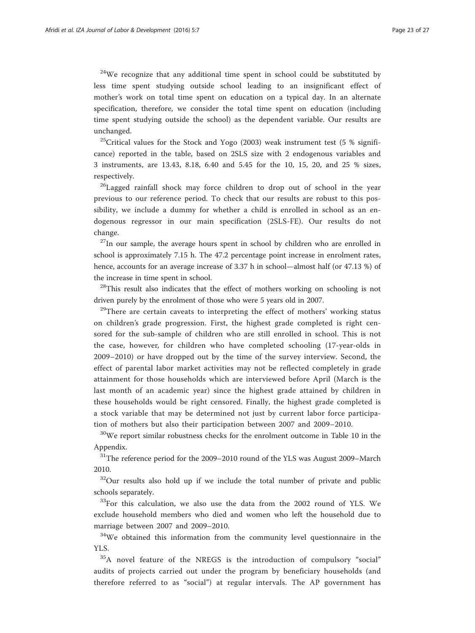$24$ We recognize that any additional time spent in school could be substituted by less time spent studying outside school leading to an insignificant effect of mother's work on total time spent on education on a typical day. In an alternate specification, therefore, we consider the total time spent on education (including time spent studying outside the school) as the dependent variable. Our results are unchanged.

<sup>25</sup>Critical values for the Stock and Yogo (2003) weak instrument test (5 % significance) reported in the table, based on 2SLS size with 2 endogenous variables and 3 instruments, are 13.43, 8.18, 6.40 and 5.45 for the 10, 15, 20, and 25 % sizes, respectively.

<sup>26</sup>Lagged rainfall shock may force children to drop out of school in the year previous to our reference period. To check that our results are robust to this possibility, we include a dummy for whether a child is enrolled in school as an endogenous regressor in our main specification (2SLS-FE). Our results do not change.

 $27$ In our sample, the average hours spent in school by children who are enrolled in school is approximately 7.15 h. The 47.2 percentage point increase in enrolment rates, hence, accounts for an average increase of 3.37 h in school—almost half (or 47.13 %) of the increase in time spent in school.

<sup>28</sup>This result also indicates that the effect of mothers working on schooling is not driven purely by the enrolment of those who were 5 years old in 2007.

 $29$ There are certain caveats to interpreting the effect of mothers' working status on children's grade progression. First, the highest grade completed is right censored for the sub-sample of children who are still enrolled in school. This is not the case, however, for children who have completed schooling (17-year-olds in 2009–2010) or have dropped out by the time of the survey interview. Second, the effect of parental labor market activities may not be reflected completely in grade attainment for those households which are interviewed before April (March is the last month of an academic year) since the highest grade attained by children in these households would be right censored. Finally, the highest grade completed is a stock variable that may be determined not just by current labor force participation of mothers but also their participation between 2007 and 2009–2010.

<sup>30</sup>We report similar robustness checks for the enrolment outcome in Table 10 in the [Appendix](#page-23-0).

 $31$ <sup>31</sup>The reference period for the 2009–2010 round of the YLS was August 2009–March 2010.

 $32$ Our results also hold up if we include the total number of private and public schools separately.

<sup>33</sup>For this calculation, we also use the data from the 2002 round of YLS. We exclude household members who died and women who left the household due to marriage between 2007 and 2009–2010.

<sup>34</sup>We obtained this information from the community level questionnaire in the YLS.

<sup>35</sup>A novel feature of the NREGS is the introduction of compulsory "social" audits of projects carried out under the program by beneficiary households (and therefore referred to as "social") at regular intervals. The AP government has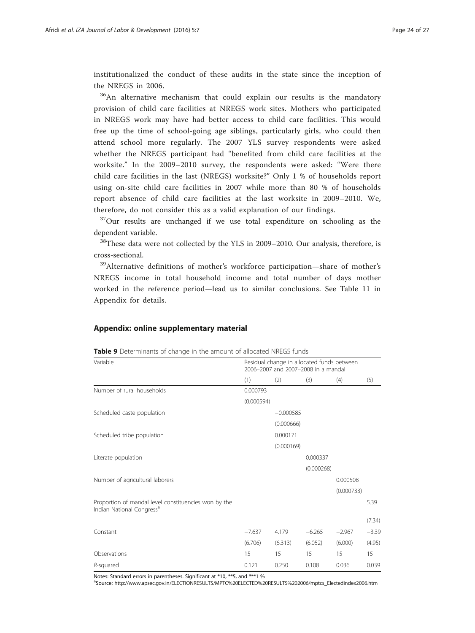<span id="page-23-0"></span>institutionalized the conduct of these audits in the state since the inception of the NREGS in 2006.

<sup>36</sup>An alternative mechanism that could explain our results is the mandatory provision of child care facilities at NREGS work sites. Mothers who participated in NREGS work may have had better access to child care facilities. This would free up the time of school-going age siblings, particularly girls, who could then attend school more regularly. The 2007 YLS survey respondents were asked whether the NREGS participant had "benefited from child care facilities at the worksite." In the 2009–2010 survey, the respondents were asked: "Were there child care facilities in the last (NREGS) worksite?" Only 1 % of households report using on-site child care facilities in 2007 while more than 80 % of households report absence of child care facilities at the last worksite in 2009–2010. We, therefore, do not consider this as a valid explanation of our findings.

<sup>37</sup>Our results are unchanged if we use total expenditure on schooling as the dependent variable.

<sup>38</sup>These data were not collected by the YLS in 2009–2010. Our analysis, therefore, is cross-sectional.

<sup>39</sup>Alternative definitions of mother's workforce participation—share of mother's NREGS income in total household income and total number of days mother worked in the reference period—lead us to similar conclusions. See Table 11 in Appendix for details.

### Appendix: online supplementary material

| Variable                                                                                      | Residual change in allocated funds between<br>2006-2007 and 2007-2008 in a mandal |             |            |            |         |  |  |  |
|-----------------------------------------------------------------------------------------------|-----------------------------------------------------------------------------------|-------------|------------|------------|---------|--|--|--|
|                                                                                               | (1)                                                                               | (2)         | (3)        | (4)        | (5)     |  |  |  |
| Number of rural households                                                                    | 0.000793                                                                          |             |            |            |         |  |  |  |
|                                                                                               | (0.000594)                                                                        |             |            |            |         |  |  |  |
| Scheduled caste population                                                                    |                                                                                   | $-0.000585$ |            |            |         |  |  |  |
|                                                                                               |                                                                                   | (0.000666)  |            |            |         |  |  |  |
| Scheduled tribe population                                                                    |                                                                                   | 0.000171    |            |            |         |  |  |  |
|                                                                                               |                                                                                   | (0.000169)  |            |            |         |  |  |  |
| Literate population                                                                           |                                                                                   |             | 0.000337   |            |         |  |  |  |
|                                                                                               |                                                                                   |             | (0.000268) |            |         |  |  |  |
| Number of agricultural laborers                                                               |                                                                                   |             |            | 0.000508   |         |  |  |  |
|                                                                                               |                                                                                   |             |            | (0.000733) |         |  |  |  |
| Proportion of mandal level constituencies won by the<br>Indian National Congress <sup>a</sup> |                                                                                   |             |            |            | 5.39    |  |  |  |
|                                                                                               |                                                                                   |             |            |            | (7.34)  |  |  |  |
| Constant                                                                                      | $-7.637$                                                                          | 4.179       | $-6.265$   | $-2.967$   | $-3.39$ |  |  |  |
|                                                                                               | (6.706)                                                                           | (6.313)     | (6.052)    | (6.000)    | (4.95)  |  |  |  |
| Observations                                                                                  | 15                                                                                | 15          | 15         | 15         | 15      |  |  |  |
| R-squared                                                                                     | 0.121                                                                             | 0.250       | 0.108      | 0.036      | 0.039   |  |  |  |

Table 9 Determinants of change in the amount of allocated NREGS funds

Notes: Standard errors in parentheses. Significant at \*10, \*\*5, and \*\*\*1 %

aSource: [http://www.apsec.gov.in/ELECTIONRESULTS/MPTC%20ELECTED%20RESULTS%202006/mptcs\\_Electedindex2006.htm](http://www.apsec.gov.in/ELECTIONRESULTS/MPTC%20ELECTED%20RESULTS%202006/mptcs_Electedindex2006.htm)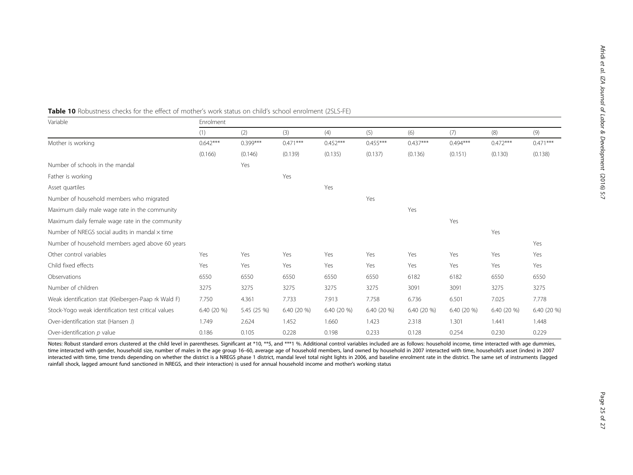| Variable                                             | Enrolment  |             |            |            |            |            |            |            |             |  |
|------------------------------------------------------|------------|-------------|------------|------------|------------|------------|------------|------------|-------------|--|
|                                                      | (1)        | (2)         | (3)        | (4)        | (5)        | (6)        | (7)        | (8)        | (9)         |  |
| Mother is working                                    | $0.642***$ | $0.399***$  | $0.471***$ | $0.452***$ | $0.455***$ | $0.437***$ | $0.494***$ | $0.472***$ | $0.471***$  |  |
|                                                      | (0.166)    | (0.146)     | (0.139)    | (0.135)    | (0.137)    | (0.136)    | (0.151)    | (0.130)    | (0.138)     |  |
| Number of schools in the mandal                      |            | Yes         |            |            |            |            |            |            |             |  |
| Father is working                                    |            |             | Yes        |            |            |            |            |            |             |  |
| Asset quartiles                                      |            |             |            | Yes        |            |            |            |            |             |  |
| Number of household members who migrated             |            |             |            |            | Yes        |            |            |            |             |  |
| Maximum daily male wage rate in the community        |            |             |            |            |            | Yes        |            |            |             |  |
| Maximum daily female wage rate in the community      |            |             |            |            |            |            | Yes        |            |             |  |
| Number of NREGS social audits in mandal x time       |            |             |            |            |            |            |            | Yes        |             |  |
| Number of household members aged above 60 years      |            |             |            |            |            |            |            |            | Yes         |  |
| Other control variables                              | Yes        | Yes         | Yes        | Yes        | Yes        | Yes        | Yes        | Yes        | Yes         |  |
| Child fixed effects                                  | Yes        | Yes         | Yes        | Yes        | Yes        | Yes        | Yes        | Yes        | Yes         |  |
| Observations                                         | 6550       | 6550        | 6550       | 6550       | 6550       | 6182       | 6182       | 6550       | 6550        |  |
| Number of children                                   | 3275       | 3275        | 3275       | 3275       | 3275       | 3091       | 3091       | 3275       | 3275        |  |
| Weak identification stat (Kleibergen-Paap rk Wald F) | 7.750      | 4.361       | 7.733      | 7.913      | 7.758      | 6.736      | 6.501      | 7.025      | 7.778       |  |
| Stock-Yogo weak identification test critical values  | 6.40(20%   | 5.45 (25 %) | 6.40(20%   | 6.40(20%   | 6.40(20%   | 6.40(20%   | 6.40(20%   | 6.40(20%   | 6.40 (20 %) |  |
| Over-identification stat (Hansen J)                  | 1.749      | 2.624       | 1.452      | 1.660      | 1.423      | 2.318      | 1.301      | 1.441      | 1.448       |  |
| Over-identification p value                          | 0.186      | 0.105       | 0.228      | 0.198      | 0.233      | 0.128      | 0.254      | 0.230      | 0.229       |  |

### Table 10 Robustness checks for the effect of mother's work status on child's school enrolment (2SLS-FE)

Notes: Robust standard errors clustered at the child level in parentheses. Significant at \*10, \*\*5, and \*\*\*1 %. Additional control variables included are as follows: household income, time interacted with age dummies, time interacted with gender, household size, number of males in the age group 16-60, average age of household members, land owned by household in 2007 interacted with time, household's asset (index) in 2007 interacted with time, time trends depending on whether the district is a NREGS phase 1 district, mandal level total night lights in 2006, and baseline enrolment rate in the district. The same set of instruments (lagged rainfall shock, lagged amount fund sanctioned in NREGS, and their interaction) is used for annual household income and mother's working status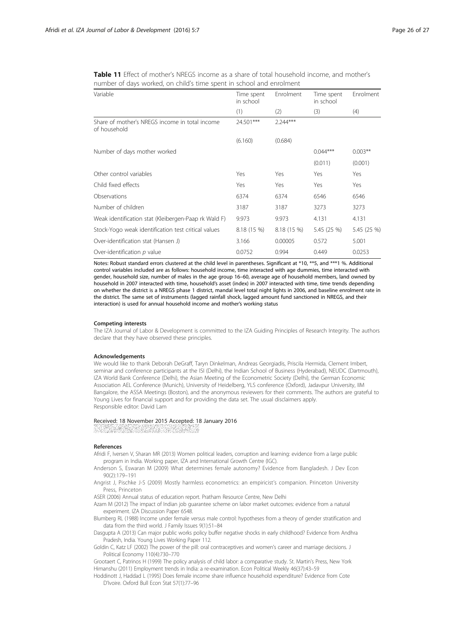| Variable                                                       | Time spent<br>in school | Enrolment   | Time spent<br>in school | Enrolment   |  |
|----------------------------------------------------------------|-------------------------|-------------|-------------------------|-------------|--|
|                                                                | (1)                     | (2)         | (3)                     | (4)         |  |
| Share of mother's NREGS income in total income<br>of household | 24.501***               | $2.244***$  |                         |             |  |
|                                                                | (6.160)                 | (0.684)     |                         |             |  |
| Number of days mother worked                                   |                         |             | $0.044***$              | $0.003**$   |  |
|                                                                |                         |             | (0.011)                 | (0.001)     |  |
| Other control variables                                        | Yes                     | Yes         | Yes                     | Yes         |  |
| Child fixed effects                                            | Yes                     | Yes         | Yes                     | Yes         |  |
| Observations                                                   | 6374                    | 6374        | 6546                    | 6546        |  |
| Number of children                                             | 3187                    | 3187        | 3273                    | 3273        |  |
| Weak identification stat (Kleibergen-Paap rk Wald F)           | 9.973                   | 9.973       | 4.131                   | 4.131       |  |
| Stock-Yogo weak identification test critical values            | 8.18 (15 %)             | 8.18 (15 %) | 5.45 (25 %)             | 5.45 (25 %) |  |
| Over-identification stat (Hansen J)                            | 3.166                   | 0.00005     | 0.572                   | 5.001       |  |
| Over-identification p value                                    | 0.0752                  | 0.994       | 0.449                   | 0.0253      |  |

<span id="page-25-0"></span>Table 11 Effect of mother's NREGS income as a share of total household income, and mother's number of days worked, on child's time spent in school and enrolment

Notes: Robust standard errors clustered at the child level in parentheses. Significant at \*10, \*\*5, and \*\*\*1 %. Additional control variables included are as follows: household income, time interacted with age dummies, time interacted with gender, household size, number of males in the age group 16–60, average age of household members, land owned by household in 2007 interacted with time, household's asset (index) in 2007 interacted with time, time trends depending on whether the district is a NREGS phase 1 district, mandal level total night lights in 2006, and baseline enrolment rate in the district. The same set of instruments (lagged rainfall shock, lagged amount fund sanctioned in NREGS, and their interaction) is used for annual household income and mother's working status

#### Competing interests

The IZA Journal of Labor & Development is committed to the IZA Guiding Principles of Research Integrity. The authors declare that they have observed these principles.

#### Acknowledgements

We would like to thank Deborah DeGraff, Taryn Dinkelman, Andreas Georgiadis, Priscila Hermida, Clement Imbert, seminar and conference participants at the ISI (Delhi), the Indian School of Business (Hyderabad), NEUDC (Dartmouth), IZA World Bank Conference (Delhi), the Asian Meeting of the Econometric Society (Delhi), the German Economic Association AEL Conference (Munich), University of Heidelberg, YLS conference (Oxford), Jadavpur University, IIM Bangalore, the ASSA Meetings (Boston), and the anonymous reviewers for their comments. The authors are grateful to Young Lives for financial support and for providing the data set. The usual disclaimers apply. Responsible editor: David Lam

#### Received: 18 November 2015 Accepted: 18 January 2016

#### References

- Afridi F, Iversen V, Sharan MR (2013) Women political leaders, corruption and learning: evidence from a large public program in India. Working paper, IZA and International Growth Centre (IGC).
- Anderson S, Eswaran M (2009) What determines female autonomy? Evidence from Bangladesh. J Dev Econ 90(2):179–191
- Angrist J, Pischke J-S (2009) Mostly harmless econometrics: an empiricist's companion. Princeton University Press, Princeton
- ASER (2006) Annual status of education report. Pratham Resource Centre, New Delhi
- Azam M (2012) The impact of Indian job guarantee scheme on labor market outcomes: evidence from a natural experiment. IZA Discussion Paper 6548.
- Blumberg RL (1988) Income under female versus male control: hypotheses from a theory of gender stratification and data from the third world. J Family Issues 9(1):51–84
- Dasgupta A (2013) Can major public works policy buffer negative shocks in early childhood? Evidence from Andhra Pradesh, India. Young Lives Working Paper 112.
- Goldin C, Katz LF (2002) The power of the pill: oral contraceptives and women's career and marriage decisions. J Political Economy 110(4):730–770

Grootaert C, Patrinos H (1999) The policy analysis of child labor: a comparative study. St. Martin's Press, New York Himanshu (2011) Employment trends in India: a re-examination. Econ Political Weekly 46(37):43–59

Hoddinott J, Haddad L (1995) Does female income share influence household expenditure? Evidence from Cote D'Ivoire. Oxford Bull Econ Stat 57(1):77–96